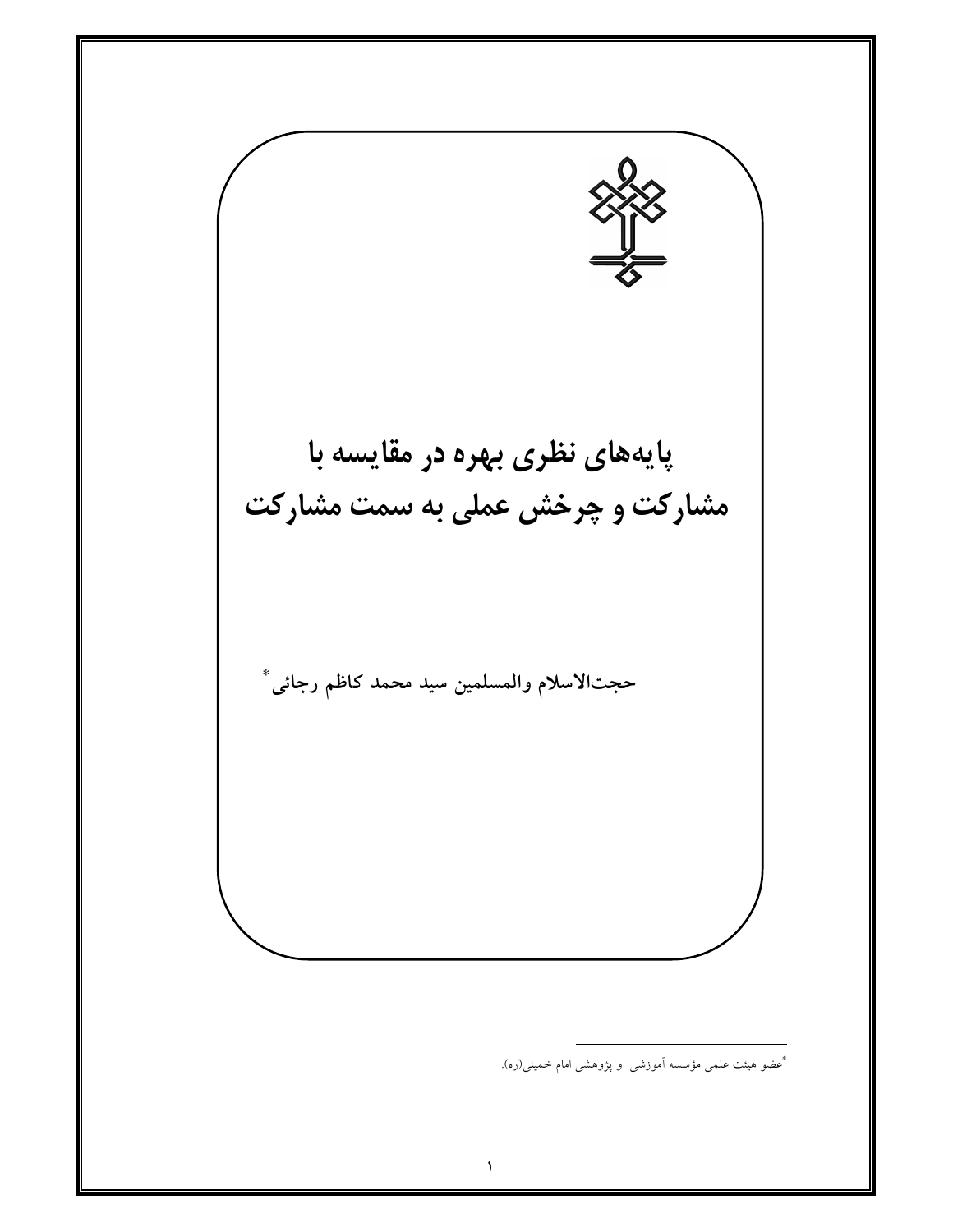

\*عضو هیئت علمی مؤسسه آموزشی و پژوهشی امام خمینی(ره).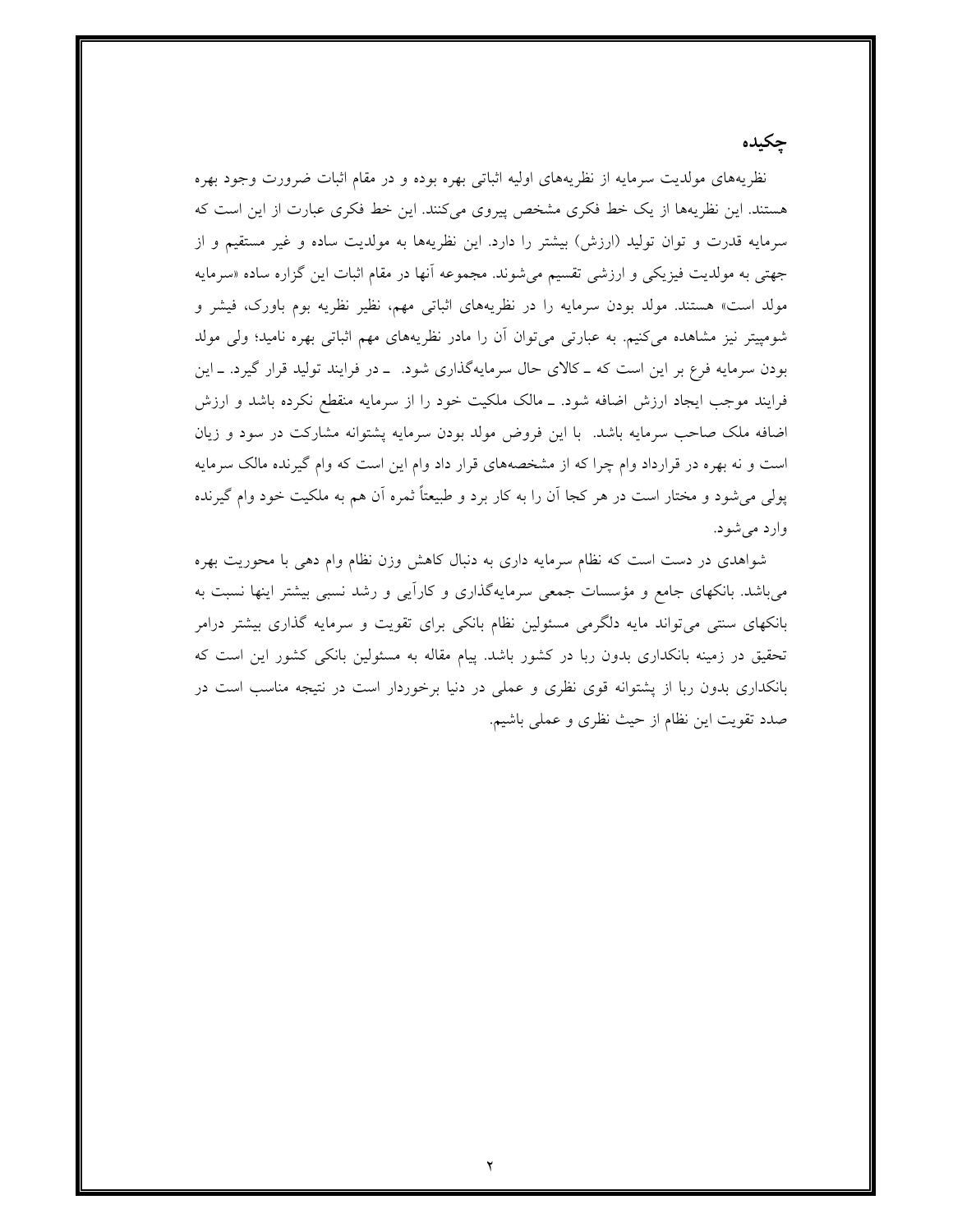نظریههای مولدیت سرمایه از نظریههای اولیه اثباتی بهره بوده و در مقام اثبات ضرورت وجود بهره هستند. این نظریهها از یک خط فکری مشخص پیروی میکنند. این خط فکری عبارت از این است که سرمایه قدرت و توان تولید (ارزش) بیشتر را دارد. این نظریهها به مولدیت ساده و غیر مستقیم و از جهتی به مولدیت فیزیکی و ارزشی تقسیم میشوند. مجموعه آنها در مقام اثبات این گزاره ساده «سرمایه مولد است» هستند. مولد بودن سرمایه را در نظریههای اثباتی مهم، نظیر نظریه بوم باورک، فیشر و شومپیتر نیز مشاهده میکنیم. به عبارتی میتوان أن را مادر نظریههای مهم اثباتی بهره نامید؛ ولی مولد بودن سرمایه فرع بر این است که ــ کالای حال سرمایهگذاری شود. ــ در فرایند تولید قرار گیرد. ــ این فرایند موجب ایجاد ارزش اضافه شود. ــ مالک ملکیت خود را از سرمایه منقطع نکرده باشد و ارزش اضافه ملک صاحب سرمایه باشد. با این فروض مولد بودن سرمایه پشتوانه مشارکت در سود و زیان است و نه بهره در قرارداد وام چرا که از مشخصههای قرار داد وام این است که وام گیرنده مالک سرمایه یولی می شود و مختار است در هر کجا آن را به کار برد و طبیعتاً ثمره آن هم به ملکیت خود وام گیرنده وارد مي شود.

جكيده

شواهدی در دست است که نظام سرمایه داری به دنبال کاهش وزن نظام وام دهی با محوریت بهره می باشد. بانکهای جامع و مؤسسات جمعی سرمایهگذاری و کارأیی و رشد نسبی بیشتر اینها نسبت به بانکهای سنتی می تواند مایه دلگرمی مسئولین نظام بانکی برای تقویت و سرمایه گذاری بیشتر درامر تحقیق در زمینه بانکداری بدون ربا در کشور باشد. پیام مقاله به مسئولین بانکی کشور این است که بانکداری بدون ربا از پشتوانه قوی نظری و عملی در دنیا برخوردار است در نتیجه مناسب است در صدد تقويت اين نظام از حيث نظري و عملي باشيم.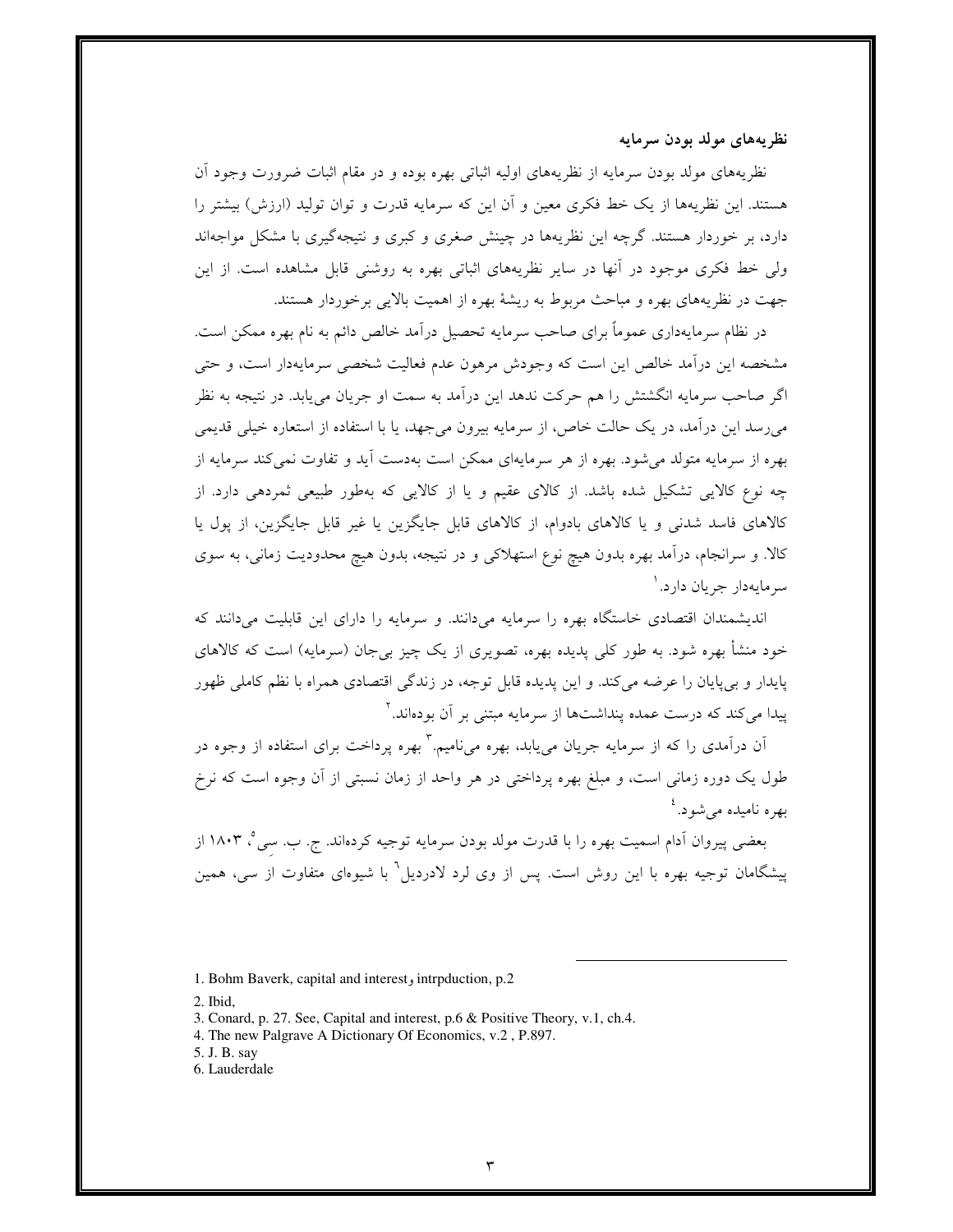نظر بههای مولد بودن سرمایه

نظریههای مولد بودن سرمایه از نظریههای اولیه اثباتی بهره بوده و در مقام اثبات ضرورت وجود أن هستند. این نظریهها از یک خط فکری معین و آن این که سرمایه قدرت و توان تولید (ارزش) بیشتر را دارد، بر خوردار هستند. گرچه این نظریهها در چینش صغری و کبری و نتیجهگیری با مشکل مواجهاند ولی خط فکری موجود در آنها در سایر نظریههای اثباتی بهره به روشنی قابل مشاهده است. از این جهت در نظریههای بهره و مباحث مربوط به ریشهٔ بهره از اهمیت بالایی برخوردار هستند.

در نظام سرمایهداری عموماً برای صاحب سرمایه تحصیل درآمد خالص دائم به نام بهره ممکن است. مشخصه این درآمد خالص این است که وجودش مرهون عدم فعالیت شخصی سرمایهدار است، و حتی اگر صاحب سرمایه انگشتش را هم حرکت ندهد این درآمد به سمت او جریان می یابد. در نتیجه به نظر میرسد این درآمد، در یک حالت خاص، از سرمایه بیرون میجهد، یا با استفاده از استعاره خیلی قدیمی بهره از سرمایه متولد می شود. بهره از هر سرمایهای ممکن است بهدست آید و تفاوت نمی کند سرمایه از چه نوع کالایی تشکیل شده باشد. از کالای عقیم و یا از کالایی که بهطور طبیعی ثمردهی دارد. از کالاهای فاسد شدنی و یا کالاهای بادوام، از کالاهای قابل جایگزین یا غیر قابل جایگزین، از یول یا کالا. و سرانجام، درآمد بهره بدون هیچ نوع استهلاکی و در نتیجه، بدون هیچ محدودیت زمانی، به سوی سر مايەدار جريان دارد. `

اندیشمندان اقتصادی خاستگاه بهره را سرمایه می دانند. و سرمایه را دارای این قابلیت می دانند که خودِ منشأ بهره شودٍ. به طور کلِّي پدیده بهره، تصویری از یک چیز بی جان (سرمایه) است که کالاهای پایدار و برپایان را عرضه می کند. و این پدیده قابل توجه، در زندگی اقتصادی همراه با نظم کاملی ظهور پیدا می کند که درست عمده پنداشتها از سرمایه مبتنی بر آن بودهاند.<sup>۲</sup>

آن درآمدی را که از سرمایه جریان میbباند، بهره میiمیم.<sup>۳</sup> بهره پرداخت برای استفاده از وجوه در طول یک دوره زمانی است، و مبلغ بهره پرداختی در هر واحد از زمان نسبتی از آن وجوه است که نرخ بھرہ نامیدہ مے شود.<sup>٤</sup>

بعضي پيروان اَدام اسميت بهره را با قدرت مولد بودن سرمايه توجيه كردهاند. ج. ب. سي°، ۱۸۰۳ از پیشگامان توجیه بهره با این روش است. پس از وی لرد لادردیل<sup>٬</sup> با شیوهای متفاوت از سی، همین

2. Ibid.

<sup>1.</sup> Bohm Baverk, capital and interest, intrpduction, p.2

<sup>3.</sup> Conard, p. 27. See, Capital and interest, p.6 & Positive Theory, v.1, ch.4.

<sup>4.</sup> The new Palgrave A Dictionary Of Economics, v.2, P.897.

<sup>5.</sup> J. B. say

<sup>6.</sup> Lauderdale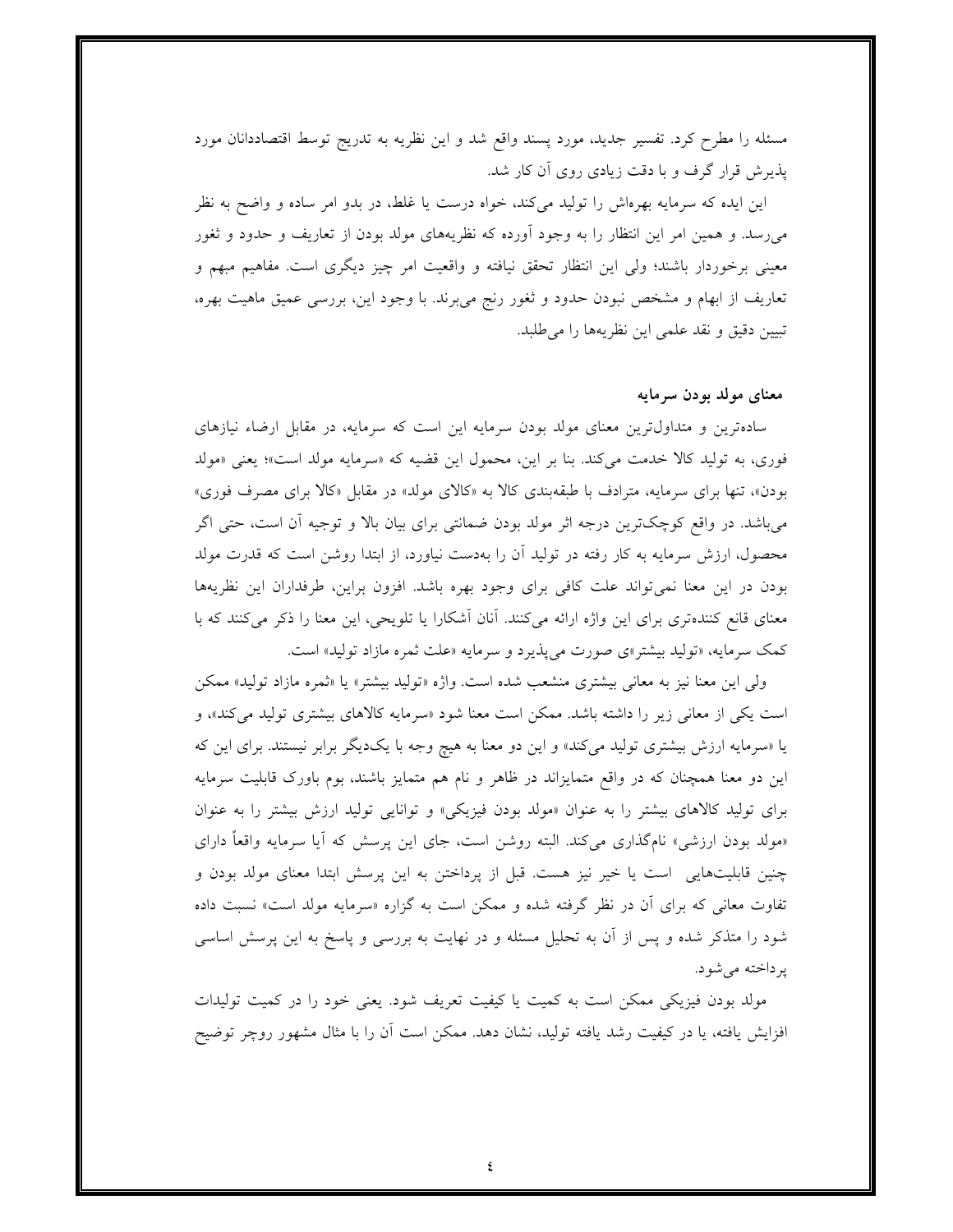مسئله را مطرح کرد. تفسیر جدید، مورد پسند واقع شد و این نظریه به تدریج توسط اقتصاددانان مورد پذیرش قرار گرف و با دقت زیادی روی اَن کار شد.

این ایده که سرمایه بهرهاش را تولید میکند، خواه درست یا غلط، در بدو امر ساده و واضح به نظر میرسد. و همین امر این انتظار را به وجود آورده که نظریههای مولد بودن از تعاریف و حدود و ثغور معینی برخوردار باشند؛ ولی این انتظار تحقق نیافته و واقعیت امر چیز دیگری است. مفاهیم مبهم و تعاریف از ابهام و مشخص نبودن حدود و ثغور رنج میبرند. با وجود این، بررسی عمیق ماهیت بهره، تبيين دقيق و نقد علمي اين نظريهها را مى طلبد.

#### معنای مولد بودن سرمایه

سادهترین و متداول ترین معنای مولد بودن سرمایه این است که سرمایه، در مقابل ارضاء نیازهای فوري، به توليد كالا خدمت مي كند. بنا بر اين، محمول اين قضيه كه «سرمايه مولد است»؛ يعني «مولد بودن»، تنها برای سرمایه، مترادف با طبقهبندی کالا به «کالای مولد» در مقابل «کالا برای مصرف فوری» میباشد. در واقع کوچکترین درجه اثر مولد بودن ضمانتی برای بیان بالا و توجیه آن است، حتی اگر محصول، ارزش سرمایه به کار رفته در تولید آن را بهدست نیاورد، از ابتدا روشن است که قدرت مولد بودن در این معنا نمیتواند علت کافی برای وجود بهره باشد. افزون براین، طرفداران این نظریهها معنای قانع کنندهتری برای این واژه ارائه میکنند. آنان آشکارا یا تلویحی، این معنا را ذکر میکنند که با کمک سرمایه، «تولید بیشتر»ی صورت می پذیرد و سرمایه «علت ثمره مازاد تولید» است.

ولي اين معنا نيز به معاني بيشتري منشعب شده است. واژه «توليد بيشتر» يا «ثمره مازاد توليد» ممكن است یکی از معانی زیر را داشته باشد. ممکن است معنا شود «سرمایه کالاهای بیشتری تولید میکند»، و یا «سرمایه ارزش بیشتری تولید میکند» و این دو معنا به هیچ وجه با یکدیگر برابر نیستند. برای این که این دو معنا همچنان که در واقع متمایزاند در ظاهر و نام هم متمایز باشند، بوم باورک قابلیت سرمایه برای تولید کالاهای بیشتر را به عنوان «مولد بودن فیزیکی» و توانایی تولید ارزش بیشتر را به عنوان «مولد بودن ارزشی» نامگذاری میکند. البته روشن است، جای این پرسش که آیا سرمایه واقعاً دارای چنین قابلیتهایی است یا خیر نیز هست. قبل از پرداختن به این پرسش ابتدا معنای مولد بودن و تفاوت معانی که برای آن در نظر گرفته شده و ممکن است به گزاره «سرمایه مولد است» نسبت داده شود را متذکر شده و پس از آن به تحلیل مسئله و در نهایت به بررسی و پاسخ به این پرسش اساسی یر داخته مے شو د.

مولد بودن فیزیکی ممکن است به کمیت یا کیفیت تعریف شود. یعنی خود را در کمیت تولیدات افزایش یافته، یا در کیفیت رشد یافته تولید، نشان دهد. ممکن است آن را با مثال مشهور روچر توضیح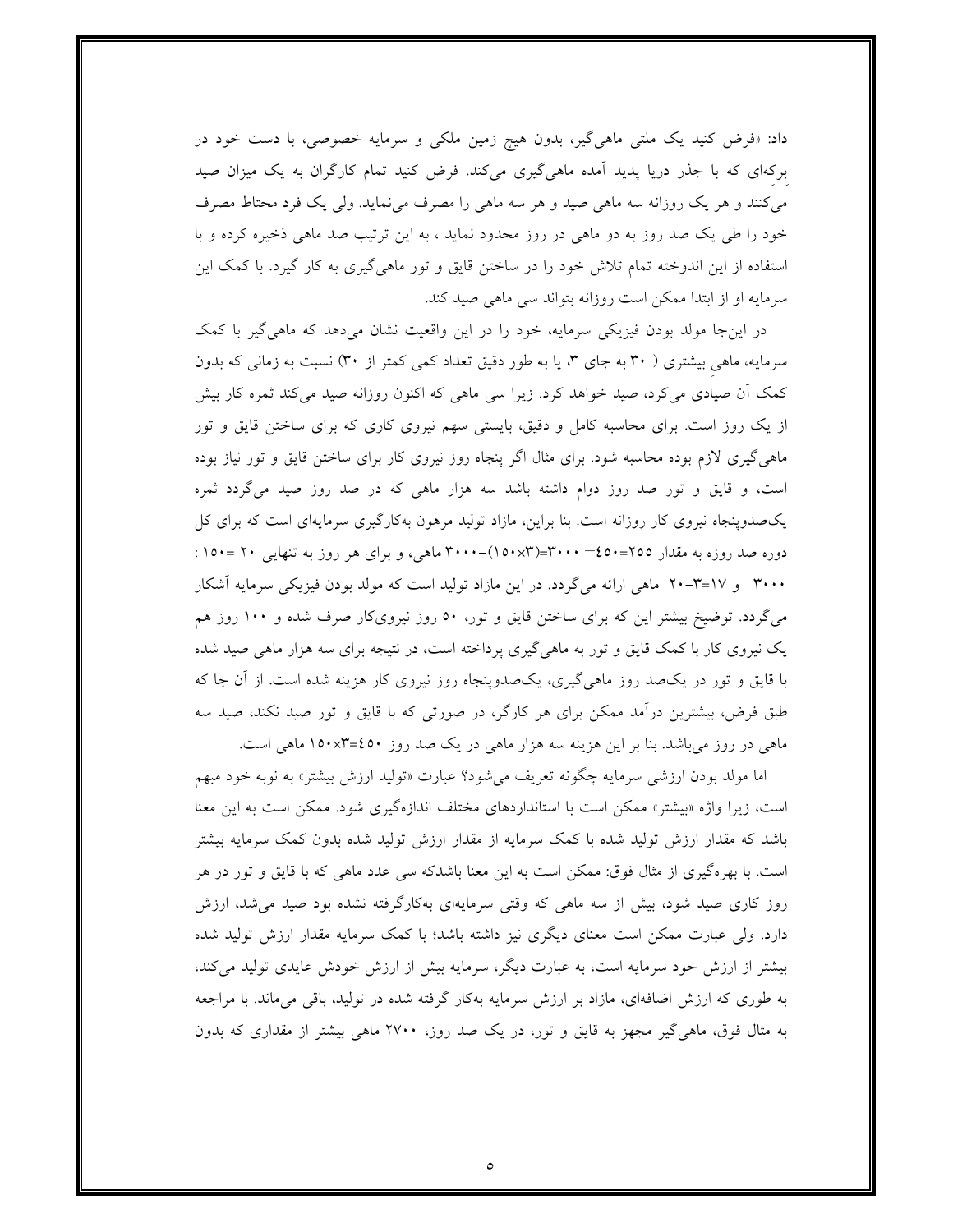داد: «فرض کنید یک ملتی ماهیگیر، بدون هیچ زمین ملکی و سرمایه خصوصی، با دست خود در برکهای که با جذر دریا پدید اَمده ماهیگیری میکند. فرض کنید تمام کارگران به یک میزان صید می کنند و هر یک روزانه سه ماهی صید و هر سه ماهی را مصرف می نماید. ولی یک فرد محتاط مصرف خود را طی یک صد روز به دو ماهی در روز محدود نماید ، به این ترتیب صد ماهی ذخیره کرده و با استفاده از این اندوخته تمام تلاش خود را در ساختن قایق و تور ماهیگیری به کار گیرد. با کمک این سرمایه او از ابتدا ممکن است روزانه بتواند سی ماهی صید کند.

در اینجا مولد بودن فیزیکی سرمایه، خود را در این واقعیت نشان میدهد که ماهی گیر با کمک سرمایه، ماهی بیشتری ( ۳۰ به جای ۳، یا به طور دقیق تعداد کمی کمتر از ۳۰) نسبت به زمانی که بدون کمک اُن صیادی میکرد، صید خواهد کرد. زیرا سی ماهی که اکنون روزانه صید میکند ثمره کار بیش از یک روز است. برای محاسبه کامل و دقیق، بایستی سهم نیروی کاری که برای ساختن قایق و تور ماهمیگیری لازم بوده محاسبه شود. برای مثال اگر پنجاه روز نیروی کار برای ساختن قایق و تور نیاز بوده است، و قایق و تور صد روز دوام داشته باشد سه هزار ماهی که در صد روز صید میگردد ثمره یک صدوینجاه نیروی کار روزانه است. بنا براین، مازاد تولید مرهون بهکارگیری سرمایهای است که برای کل دوره صد روزه به مقدار ۲۵۵=۲۵۰− ۳۰۰۰=(۱۵۰x۳)–۳۰۰۰ ماهی، و برای هر روز به تنهایی ۲۰ =۱۵۰ : ۳۰۰۰ و ۲۷=۳-۲۰ ماهی ارائه میگردد. در این مازاد تولید است که مولد بودن فیزیکی سرمایه آشکار می گردد. توضیخ بیشتر این که برای ساختن قایق و تور، ٥٠ روز نیرویکار صرف شده و ١٠٠ روز هم یک نیروی کار با کمک قایق و تور به ماهییگیری پرداخته است، در نتیجه برای سه هزار ماهی صید شده با قایق و تور در یکصد روز ماهیگیری، یکصدوپنجاه روز نیروی کار هزینه شده است. از آن جا که طبق فرض، بیشترین درآمد ممکن برای هر کارگر، در صورتی که با قایق و تور صید نکند، صید سه ماهی در روز میباشد. بنا بر این هزینه سه هزار ماهی در یک صد روز ٤٥٠×١٥٠×١٥ ماهی است.

اما مولد بودن ارزشی سرمایه چگونه تعریف میشود؟ عبارت «تولید ارزش بیشتر» به نوبه خود مبهم است، زیرا واژه «بیشتر» ممکن است با استانداردهای مختلف اندازهگیری شود. ممکن است به این معنا باشد که مقدار ارزش تولید شده با کمک سرمایه از مقدار ارزش تولید شده بدون کمک سرمایه بیشتر است. با بهرهگیری از مثال فوق: ممکن است به این معنا باشدکه سی عدد ماهی که با قایق و تور در هر روز کاری صید شود، بیش از سه ماهی که وقتی سرمایهای بهکارگرفته نشده بود صید میشد، ارزش دارد. ولی عبارت ممکن است معنای دیگری نیز داشته باشد؛ با کمک سرمایه مقدار ارزش تولید شده بیشتر از ارزش خود سرمایه است، به عبارت دیگر، سرمایه بیش از ارزش خودش عایدی تولید می کند، به طوری که ارزش اضافهای، مازاد بر ارزش سرمایه بهکار گرفته شده در تولید، باقی میماند. با مراجعه به مثال فوق، ماهی گیر مجهز به قایق و تور، در یک صد روز، ۲۷۰۰ ماهی بیشتر از مقداری که بدون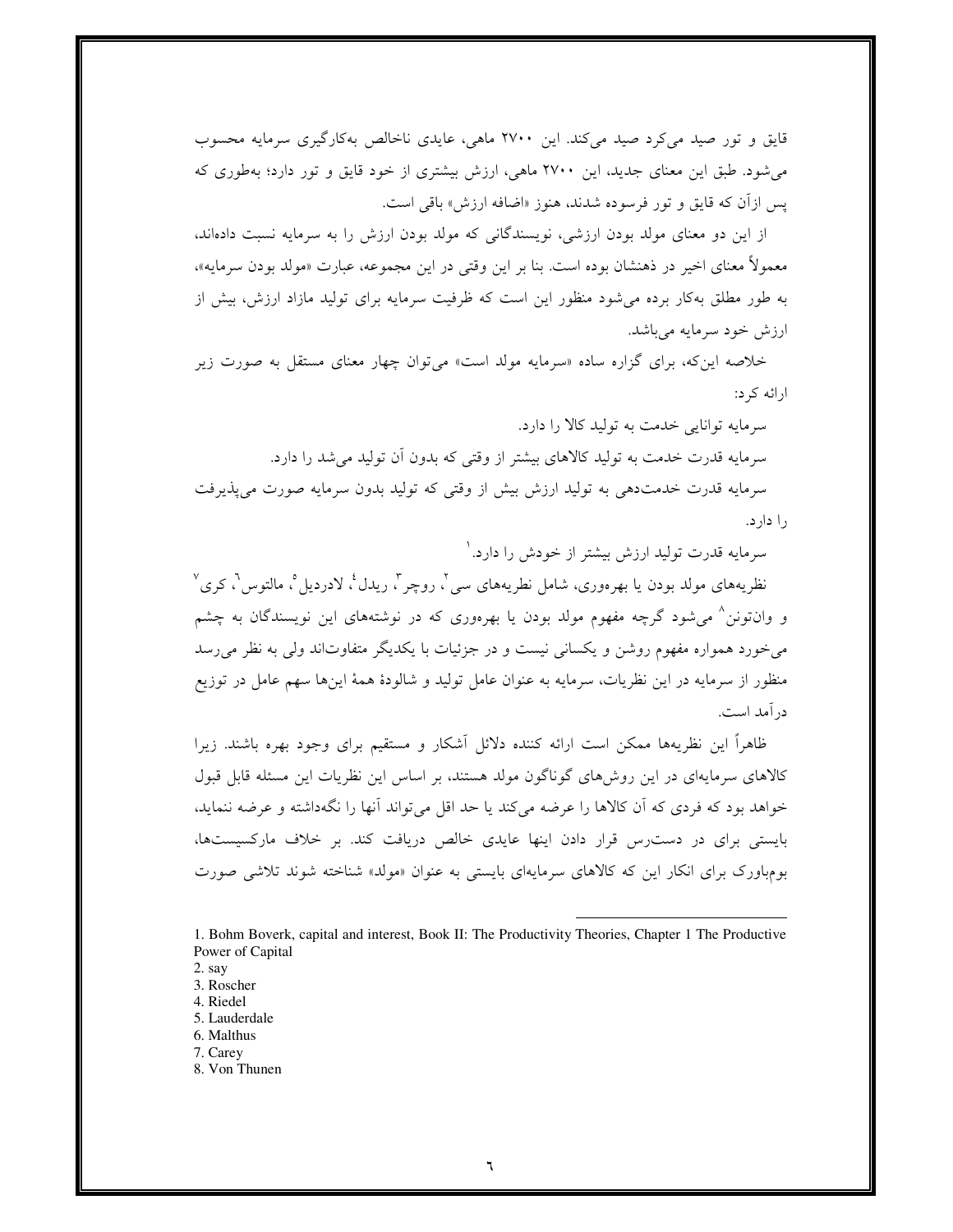قایق و تور صید می کرد صید می کند. این ۲۷۰۰ ماهی، عایدی ناخالص بهکارگیری سرمایه محسوب می شود. طبق این معنای جدید، این ۲۷۰۰ ماهی، ارزش بیشتری از خود قایق و تور دارد؛ بهطوری که پس ازأن كه قايق و تور فرسوده شدند، هنوز «اضافه ارزش» باقی است.

از این دو معنای مولد بودن ارزشی، نویسندگانی که مولد بودن ارزش را به سرمایه نسبت دادهاند، معمولاً معناي اخير در ذهنشان بوده است. بنا بر اين وقتي در اين مجموعه، عبارت «مولد بودن سرمايه»، به طور مطلق بهکار برده می شود منظور این است که ظرفیت سرمایه برای تولید مازاد ارزش، بیش از ارزش خود سرمایه میباشد.

خلاصه این که، برای گزاره ساده «سرمایه مولد است» میتوان چهار معنای مستقل به صورت زیر ارائه کر د:

سرمايه توانايي خدمت به توليد كالا را دارد. سرمایه قدرت خدمت به تولید کالاهای بیشتر از وقتی که بدون اَن تولید می شد را دارد. سرمایه قدرت خدمتدهی به تولید ارزش بیش از وقتی که تولید بدون سرمایه صورت می پذیرفت

ر ا دار د.

سرمایه قدرت تولید ارزش بیشتر از خودش را دارد.<sup>۱</sup>

نظریههای مولد بودن یا بهرهوری، شامل نطریههای سی ٌ، روچر ؓ، ریدل ٔ، لادردیل ؓ، مالتوس ؓ، کری ٌ و وانتونن^ میشود گرچه مفهوم مولد بودن یا بهرهوری که در نوشتههای این نویسندگان به چشم میخورد همواره مفهوم روشن و یکسانی نیست و در جزئیات با یکدیگر متفاوتاند ولی به نظر می رسد منظور از سرمایه در این نظریات، سرمایه به عنوان عامل تولید و شالودهٔ همهٔ اینها سهم عامل در توزیع در آمد است.

ظاهراً این نظریهها ممکن است ارائه کننده دلائل آشکار و مستقیم برای وجود بهره باشند. زیرا کالاهای سرمایهای در این روشهای گوناگون مولد هستند، بر اساس این نظریات این مسئله قابل قبول خواهد بود که فردی که اَن کالاها را عرضه میکند یا حد اقل می تواند اَنها را نگهداشته و عرضه ننماید، بایستی برای در دست رس قرار دادن اینها عایدی خالص دریافت کند. بر خلاف مارکسیستها، بومباورک برای انکار این که کالاهای سرمایهای بایستی به عنوان «مولد» شناخته شوند تلاشی صورت

<sup>1.</sup> Bohm Boverk, capital and interest, Book II: The Productivity Theories, Chapter 1 The Productive Power of Capital

<sup>2.</sup> say

<sup>3.</sup> Roscher

<sup>4.</sup> Riedel

<sup>5.</sup> Lauderdale

<sup>6.</sup> Malthus

<sup>7.</sup> Carey

<sup>8.</sup> Von Thunen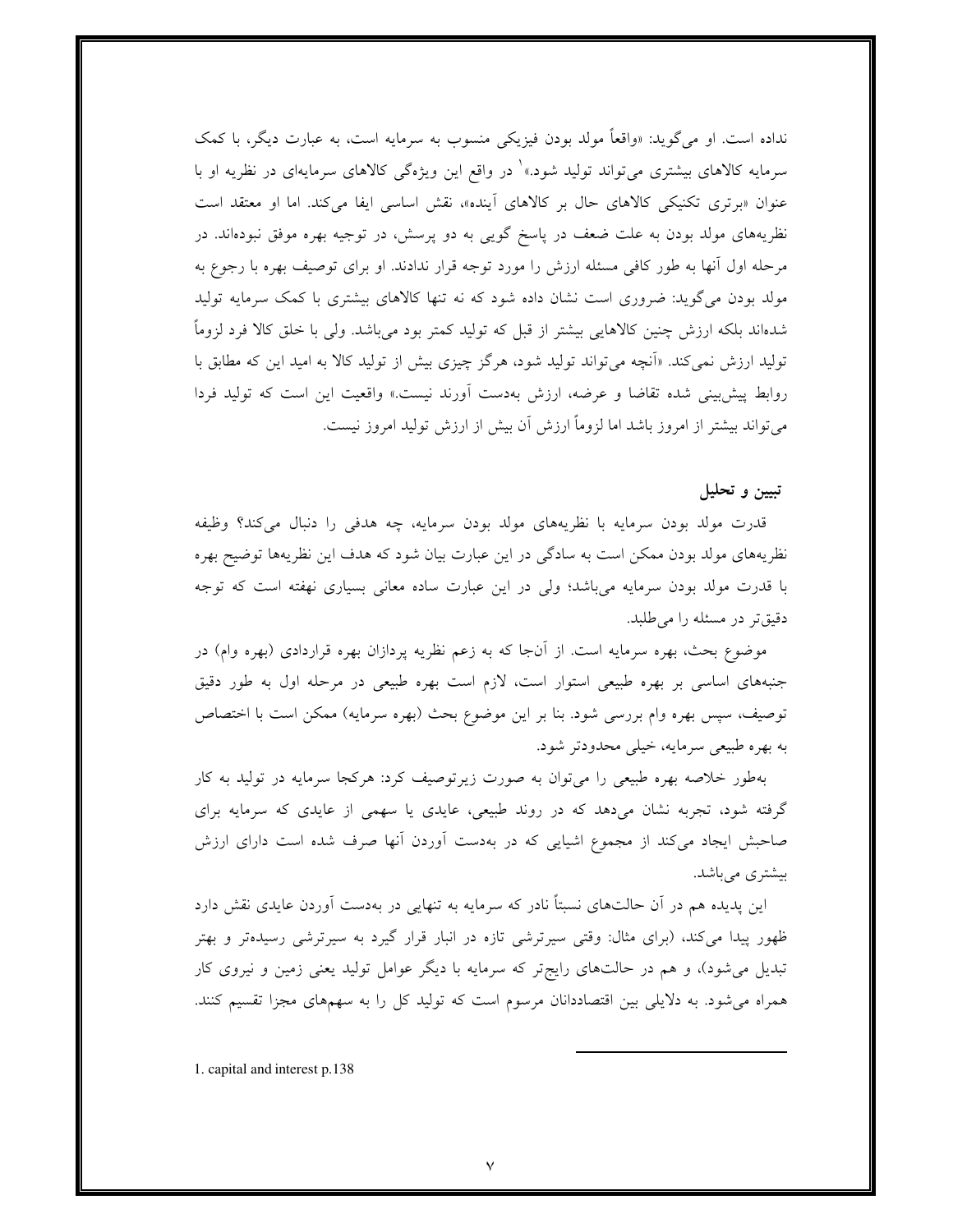نداده است. او میگوید: «واقعاً مولد بودن فیزیکی منسوب به سرمایه است، به عبارت دیگر، با کمک سرمایه کالاهای بیشتری می¤واند تولید شود.»<sup>۱</sup> در واقع این ویژهگی کالاهای سرمایهای در نظریه او با عنوان «برتری تکنیکی کالاهای حال بر کالاهای آینده»، نقش اساسی ایفا میکند. اما او معتقد است نظریههای مولد بودن به علت ضعف در پاسخ گویی به دو پرسش، در توجیه بهره موفق نبودهاند. در مرحله اول اّنها به طور کافی مسئله ارزش را مورد توجه قرار ندادند. او برای توصیف بهره با رجوع به مولد بودن می گوید: ضروری است نشان داده شود که نه تنها کالاهای بیشتری با کمک سرمایه تولید شدهاند بلکه ارزش چنین کالاهایی بیشتر از قبل که تولید کمتر بود میباشد. ولی با خلق کالا فرد لزوماً تولید ارزش نمی کند. «اَنچه می تواند تولید شود، هرگز چیزی بیش از تولید کالا به امید این که مطابق با روابط پیش بینی شده تقاضا و عرضه، ارزش بهدست آورند نیست.» واقعیت این است که تولید فردا میتواند بیشتر از امروز باشد اما لزوماً ارزش آن بیش از ارزش تولید امروز نیست.

### تبيين و تحليل

قدرت مولد بودن سرمايه با نظريههاى مولد بودن سرمايه، چه هدفى را دنبال مى كند؟ وظيفه نظریههای مولد بودن ممکن است به سادگی در این عبارت بیان شود که هدف این نظریهها توضیح بهره با قدرت مولد بودن سرمایه میباشد؛ ولی در این عبارت ساده معانی بسیاری نهفته است که توجه دقیقتر در مسئله را می طلبد.

موضوع بحث، بهره سرمایه است. از آنجا که به زعم نظریه پردازان بهره قراردادی (بهره وام) در جنبههای اساسی بر بهره طبیعی استوار است، لازم است بهره طبیعی در مرحله اول به طور دقیق توصیف، سپس بهره وام بررسی شود. بنا بر این موضوع بحث (بهره سرمایه) ممکن است با اختصاص به بهره طبیعی سرمایه، خیلی محدودتر شود.

بهطور خلاصه بهره طبیعی را میتوان به صورت زیرتوصیف کرد: هرکجا سرمایه در تولید به کار گرفته شود، تجربه نشان میدهد که در روند طبیعی، عایدی یا سهمی از عایدی که سرمایه برای صاحبش ایجاد میکند از مجموع اشیایی که در بهدست آوردن آنها صرف شده است دارای ارزش بیشتری می باشد.

این پدیده هم در اَن حالتهای نسبتاً نادر که سرمایه به تنهایی در بهدست اَوردن عایدی نقش دارد ظهور پیدا میکند، (برای مثال: وقتی سیرترشی تازه در انبار قرار گیرد به سیرترشی رسیدهتر و بهتر تبدیل میشود)، و هم در حالتهای رایجتر که سرمایه با دیگر عوامل تولید یعنی زمین و نیروی کار همراه میشود. به دلایلی بین اقتصاددانان مرسوم است که تولید کل را به سهمهای مجزا تقسیم کنند.

1. capital and interest p.138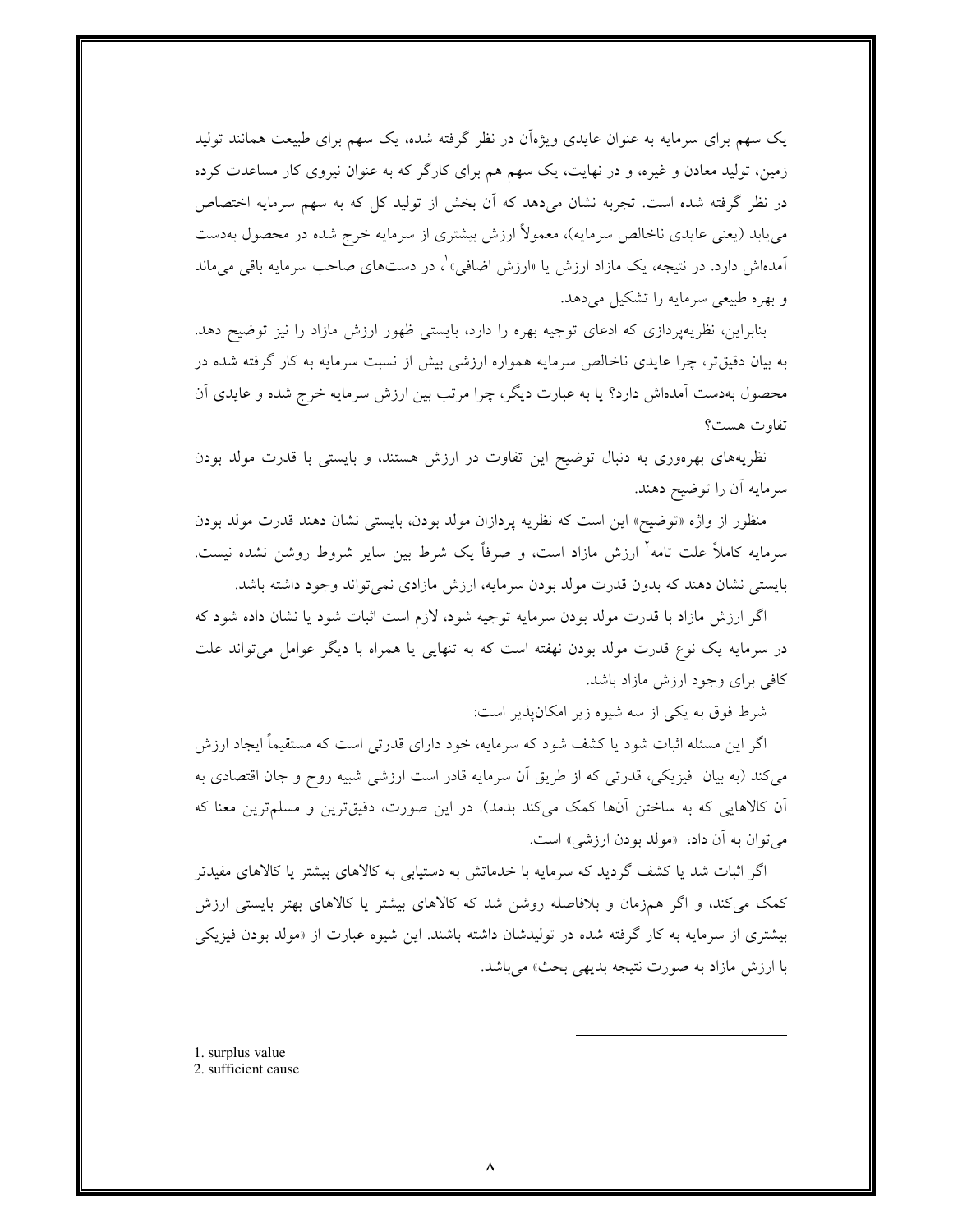یک سهم برای سرمایه به عنوان عایدی ویژهآن در نظر گرفته شده، یک سهم برای طبیعت همانند تولید زمین، تولید معادن و غیره، و در نهایت، یک سهم هم برای کارگر که به عنوان نیروی کار مساعدت کرده در نظر گرفته شده است. تجربه نشان میدهد که آن بخش از تولید کل که به سهم سرمایه اختصاص می یابد (یعنی عایدی ناخالص سرمایه)، معمولاً ارزش بیشتری از سرمایه خرج شده در محصول بهدست آمدهاش دارد. در نتیجه، یک مازاد ارزش یا «ارزش اضافی» ، در دستهای صاحب سرمایه باقی می ماند و بهره طبیعی سرمایه را تشکیل میدهد.

بنابراین، نظریهپردازی که ادعای توجیه بهره را دارد، بایستی ظهور ارزش مازاد را نیز توضیح دهد. به بیان دقیقتر، چرا عایدی ناخالص سرمایه همواره ارزشی بیش از نسبت سرمایه به کار گرفته شده در محصول بهدست آمدهاش دارد؟ یا به عبارت دیگر، چرا مرتب بین ارزش سرمایه خرج شده و عایدی آن تفاوت هست؟

نظریههای بهرهوری به دنبال توضیح این تفاوت در ارزش هستند، و بایستی با قدرت مولد بودن سرمايه آن را توضيح دهند.

منظور از واژه «توضیح» این است که نظریه پردازان مولد بودن، بایستی نشان دهند قدرت مولد بودن سرمایه کاملاً علت تامه<sup>۲</sup> ارزش مازاد است، و صرفاً یک شرط بین سایر شروط روشن نشده نیست. بایستی نشان دهند که بدون قدرت مولد بودن سرمایه، ارزش مازادی نمی تواند وجود داشته باشد.

اگر ارزش مازاد با قدرت مولد بودن سرمایه توجیه شود، لازم است اثبات شود یا نشان داده شود که در سرمایه یک نوع قدرت مولد بودن نهفته است که به تنهایی یا همراه با دیگر عوامل میتواند علت كافي براي وجود ارزش مازاد باشد.

شرط فوق به یکی از سه شیوه زیر امکان پذیر است:

اگر این مسئله اثبات شود یا کشف شود که سرمایه، خود دارای قدرتی است که مستقیماً ایجاد ارزش می کند (به بیان فیزیکی، قدرتی که از طریق اَن سرمایه قادر است ارزشی شبیه روح و جان اقتصادی به اّن کالاهایی که به ساختن آنها کمک میکند بدمد). در این صورت، دقیقترین و مسلمترین معنا که مي توان به آن داد، «مولد بودن ارزشي» است.

اگر اثبات شد یا کشف گردید که سرمایه با خدماتش به دستیابی به کالاهای بیشتر یا کالاهای مفیدتر کمک میکند، و اگر همزمان و بلافاصله روشن شد که کالاهای بیشتر یا کالاهای بهتر بایستی ارزش بیشتری از سرمایه به کار گرفته شده در تولیدشان داشته باشند. این شیوه عبارت از «مولد بودن فیزیکی با ارزش مازاد به صورت نتيجه بديهي بحث» ميباشد.

1. surplus value 2. sufficient cause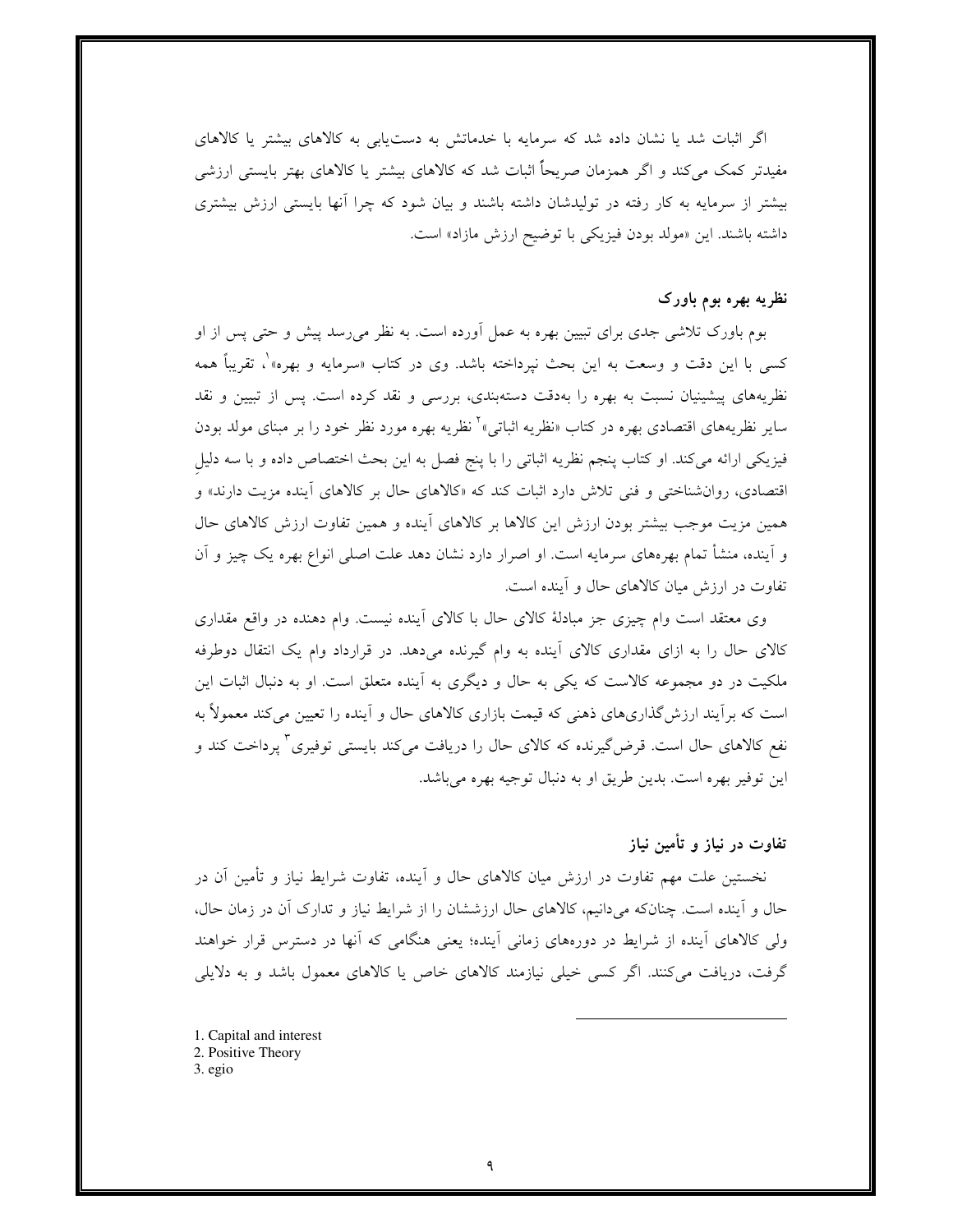اگر اثبات شد یا نشان داده شد که سرمایه با خدماتش به دستپایی به کالاهای بیشتر یا کالاهای مفیدتر کمک میکند و اگر همزمان صریحاً اثبات شد که کالاهای بیشتر یا کالاهای بهتر بایستی ارزشی بیشتر از سرمایه به کار رفته در تولیدشان داشته باشند و بیان شود که چرا آنها بایستی ارزش بیشتری داشته باشند. این «مولد بودن فیزیکی با توضیح ارزش مازاد» است.

## نظریه بهره بوم باورک

بوم باورک تلاشی جدی برای تبیین بهره به عمل اَورده است. به نظر میرسد پیش و حتی پس از او کسی با این دقت و وسعت به این بحث نپرداخته باشد. وی در کتاب «سرمایه و بهره» ْ، تقریباً همه نظریههای پیشینیان نسبت به بهره را بهدقت دستهبندی، بررسی و نقد کرده است. پس از تبیین و نقد سایر نظریههای اقتصادی بهره در کتاب «نظریه اثباتی»<sup>1</sup> نظریه بهره مورد نظر خود را بر مبنای مولد بودن فیزیکی ارائه میکند. او کتاب پنجم نظریه اثباتی را با پنج فصل به این بحث اختصاص داده و با سه دلیل اقتصادی، روان شناختی و فنی تلاش دارد اثبات کند که «کالاهای حال بر کالاهای آینده مزیت دارند» و همین مزیت موجب بیشتر بودن ارزش این کالاها بر کالاهای آینده و همین تفاوت ارزش کالاهای حال و آینده، منشأ تمام بهرههای سرمایه است. او اصرار دارد نشان دهد علت اصلی انواع بهره یک چیز و آن تفاوت در ارزش میان کالاهای حال و آینده است.

وی معتقد است وام چیزی جز مبادلهٔ کالای حال با کالای آینده نیست. وام دهنده در واقع مقداری کالای حال را به ازای مقداری کالای آینده به وام گیرنده میدهد. در قرارداد وام یک انتقال دوطرفه ملکیت در دو مجموعه کالاست که یکی به حال و دیگری به آینده متعلق است. او به دنبال اثبات این است که برأیند ارزش گذاریهای ذهنی که قیمت بازاری کالاهای حال و آینده را تعیین می کند معمولاً به نفع کالاهای حال است. قرض گیرنده که کالای حال را دریافت میکند بایستی توفیری<sup>۳</sup> پرداخت کند و این توفیر بهره است. بدین طریق او به دنبال توجیه بهره میباشد.

## تفاوت در نیاز و تأمین نیاز

نخستین علت مهم تفاوت در ارزش میان کالاهای حال و اَینده، تفاوت شرایط نیاز و تأمین اَن در حال و آینده است. چنانکه میدانیم، کالاهای حال ارزششان را از شرایط نیاز و تدارک آن در زمان حال، ولی کالاهای اَینده از شرایط در دورههای زمانی اَینده؛ یعنی هنگامی که اَنها در دسترس قرار خواهند گرفت، دریافت می کنند. اگر کسی خیلی نیازمند کالاهای خاص یا کالاهای معمول باشد و به دلایلی

1. Capital and interest 2. Positive Theory 3. egio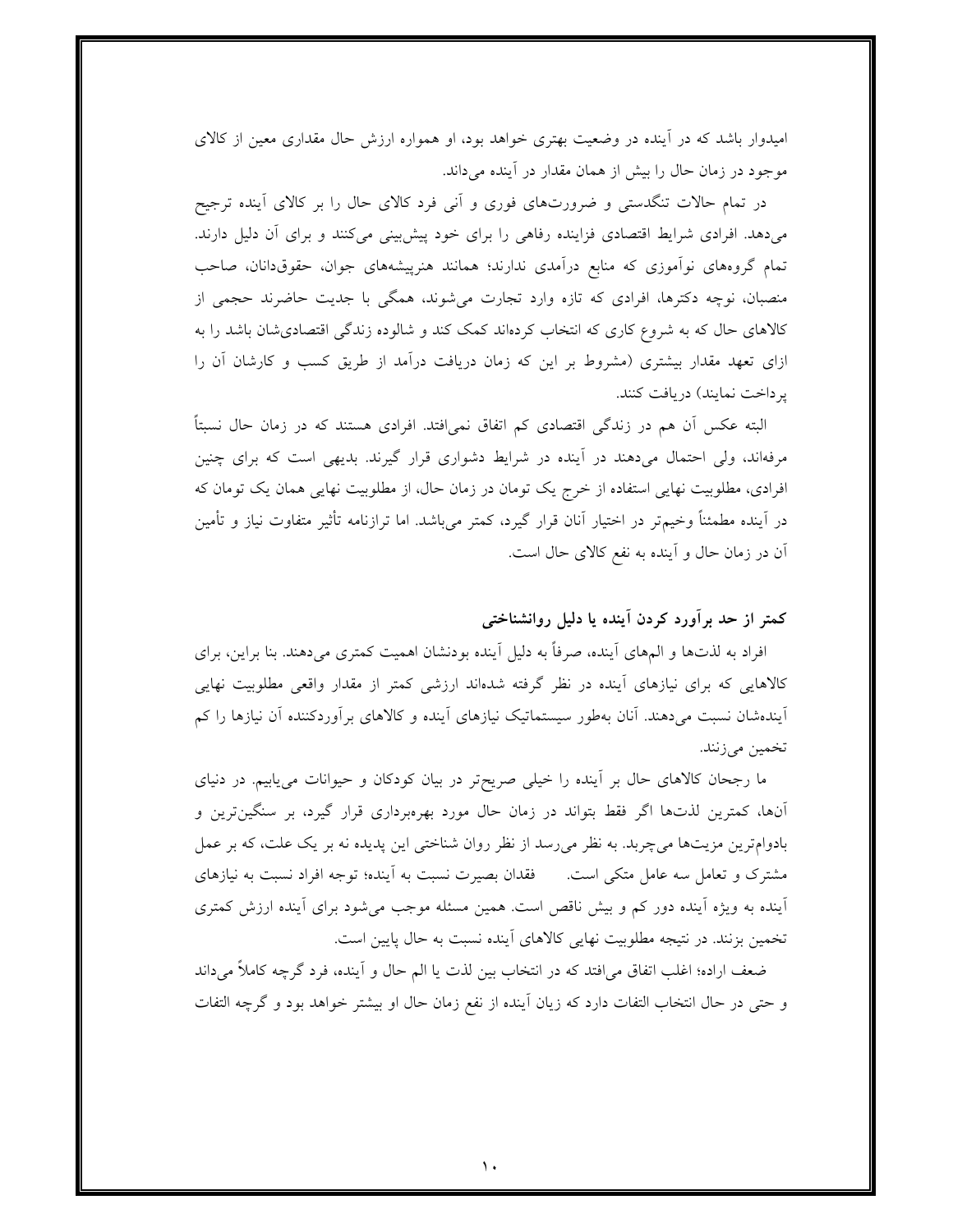امیدوار باشد که در آینده در وضعیت بهتری خواهد بود، او همواره ارزش حال مقداری معین از کالای موجود در زمان حال را بیش از همان مقدار در آینده میداند.

در تمام حالات تنگدستی و ضرورتهای فوری و آنی فرد کالای حال را بر کالای آینده ترجیح میدهد. افرادی شرایط اقتصادی فزاینده رفاهی را برای خود پیشبینی میکنند و برای آن دلیل دارند. تمام گروههای نوآموزی که منابع درآمدی ندارند؛ همانند هنرپیشههای جوان، حقوقدانان، صاحب منصبان، نوچه دکترها، افرادی که تازه وارد تجارت میشوند، همگی با جدیت حاضرند حجمی از کالاهای حال که به شروع کاری که انتخاب کردهاند کمک کند و شالوده زندگی اقتصادیشان باشد را به ازای تعهد مقدار بیشتری (مشروط بر این که زمان دریافت درآمد از طریق کسب و کارشان آن را ير داخت نمايند) دريافت كنند.

البته عکس اَن هم در زندگی اقتصادی کم اتفاق نمیِافتد. افرادی هستند که در زمان حال نسبتاً مرفهاند، ولی احتمال میدهند در آینده در شرایط دشواری قرار گیرند. بدیهی است که برای چنین افرادی، مطلوبیت نهایی استفاده از خرج یک تومان در زمان حال، از مطلوبیت نهایی همان یک تومان که در آینده مطمئناً وخیمتر در اختیار آنان قرار گیرد، کمتر میباشد. اما ترازنامه تأثیر متفاوت نیاز و تأمین آن در زمان حال و آینده به نفع کالای حال است.

# کمتر از حد برآورد کردن آینده یا دلیل روانشناختی

افراد به لذتها و المهاي آينده، صرفاً به دليل آينده بودنشان اهميت كمترى مى دهند. بنا براين، براي کالاهایی که برای نیازهای آینده در نظر گرفته شدهاند ارزشی کمتر از مقدار واقعی مطلوبیت نهایی آیندهشان نسبت میدهند. آنان بهطور سیستماتیک نیازهای آینده و کالاهای برآوردکننده آن نیازها را کم تخمين مي زنند.

ما رجحان كالاهاى حال بر آينده را خيلى صريحتر در بيان كودكان و حيوانات مى يابيم. در دنياى آنها، کمترین لذتها اگر فقط بتواند در زمان حال مورد بهرهبرداری قرار گیرد، بر سنگینترین و بادوامترین مزیتها میچربد. به نظر میرسد از نظر روان شناختی این پدیده نه بر یک علت، که بر عمل مشترک و تعامل سه عامل متکی است. مخ فقدان بصیرت نسبت به آینده؛ توجه افراد نسبت به نیازهای آینده به ویژه آینده دور کم و بیش ناقص است. همین مسئله موجب میشود برای آینده ارزش کمتری تخمین بزنند. در نتیجه مطلوبیت نهایی کالاهای اَینده نسبت به حال پایین است.

ضعف اراده؛ اغلب اتفاق می|فتد که در انتخاب بین لذت یا الم حال و آینده، فرد گرچه کاملاً میداند و حتى در حال انتخاب التفات دارد كه زيان أينده از نفع زمان حال او بيشتر خواهد بود و گرچه التفات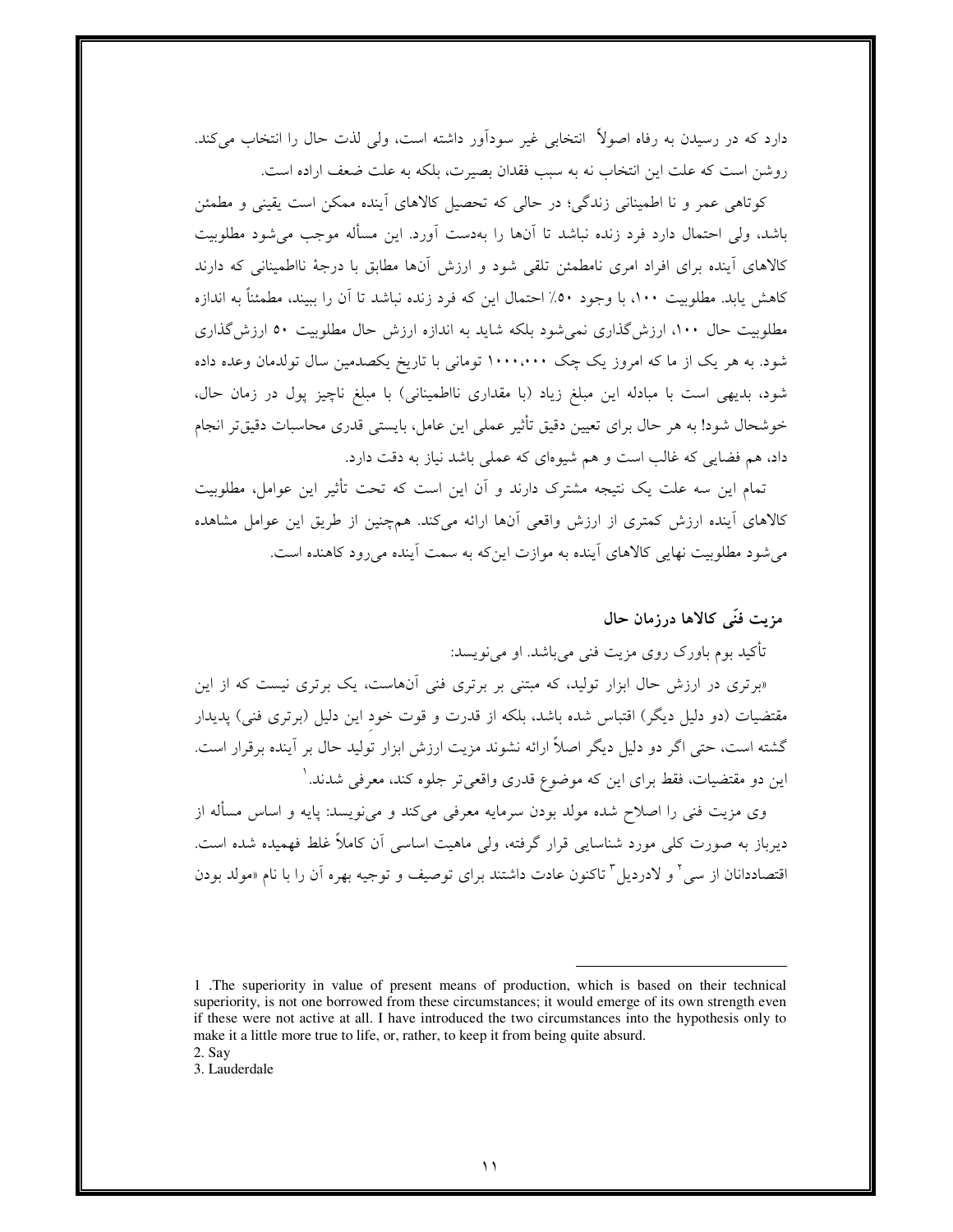دارد که در رسیدن به رفاه اصولاً انتخابی غیر سودآور داشته است، ولی لذت حال را انتخاب می کند. روشن است كه علت اين انتخاب نه به سبب فقدان بصيرت، بلكه به علت ضعف اراده است.

کوتاهی عمر و نا اطمینانی زندگی؛ در حالی که تحصیل کالاهای آینده ممکن است یقینی و مطمئن باشد، ولي احتمال دارد فرد زنده نباشد تا آنها را بهدست آورد. اين مسأله موجب مي شود مطلوبيت کالاهای آینده برای افراد امری نامطمئن تلقی شود و ارزش آنها مطابق با درجهٔ نااطمینانی که دارند کاهش پابد. مطلوبیت ۱۰۰، با وجود ۵۰٪ احتمال این که فرد زنده نباشد تا آن را ببیند، مطمئناً به اندازه مطلوبیت حال ۱۰۰، ارزش گذاری نمی شود بلکه شاید به اندازه ارزش حال مطلوبیت ۵۰ ارزش گذاری شود. به هر یک از ما که امروز یک چک ۱۰۰۰،۰۰۰ تومانی با تاریخ یکصدمین سال تولدمان وعده داده شود، بدیهی است با مبادله این مبلغ زیاد (با مقداری نااطمینانی) با مبلغ ناچیز پول در زمان حال، خوشحال شود! به هر حال براي تعيين دقيق تأثير عملي اين عامل، بايستي قدري محاسبات دقيق تر انجام داد، هم فضایی که غالب است و هم شیوهای که عملی باشد نیاز به دقت دارد.

تمام این سه علت یک نتیجه مشترک دارند و آن این است که تحت تأثیر این عوامل، مطلوبیت كالاهاى آينده ارزش كمترى از ارزش واقعى آنها ارائه مىكند. همچنين از طريق اين عوامل مشاهده می شود مطلوبیت نهایی کالاهای آینده به موازت این که به سمت آینده می رود کاهنده است.

# مزيت فنّي كالاها درزمان حال

تأکید بوم باورک روی مزیت فنی می باشد. او می نویسد:

«برتری در ارزش حال ابزار تولید، که مبتنی بر برتری فنی آنهاست، یک برتری نیست که از این مقتضیات (دو دلیل دیگر) اقتباس شده باشد، بلکه از قدرت و قوت خود این دلیل (برتری فنی) پدیدار گشته است، حتی اگر دو دلیل دیگر اصلاً ارائه نشوند مزیت ارزش ابزار تولید حال بر آینده برقرار است. این دو مقتضیات، فقط برای این که موضوع قدری واقعیتر جلوه کند، معرفی شدند. ٰ

وی مزیت فنی را اصلاح شده مولد بودن سرمایه معرفی میکند و می نویسد: پایه و اساس مسأله از دیرباز به صورت کلّی مورد شناسایی قرار گرفته، ولی ماهیت اساسی اّن کاملاً غلط فهمیده شده است. اقتصاددانان از سی <sup>۲</sup> و لادردیل <sup>۳</sup> تاکنون عادت داشتند برای توصیف و توجیه بهره آن را با نام «مولد بودن

<sup>1.</sup> The superiority in value of present means of production, which is based on their technical superiority, is not one borrowed from these circumstances; it would emerge of its own strength even if these were not active at all. I have introduced the two circumstances into the hypothesis only to make it a little more true to life, or, rather, to keep it from being quite absurd. 2. Say

<sup>3.</sup> Lauderdale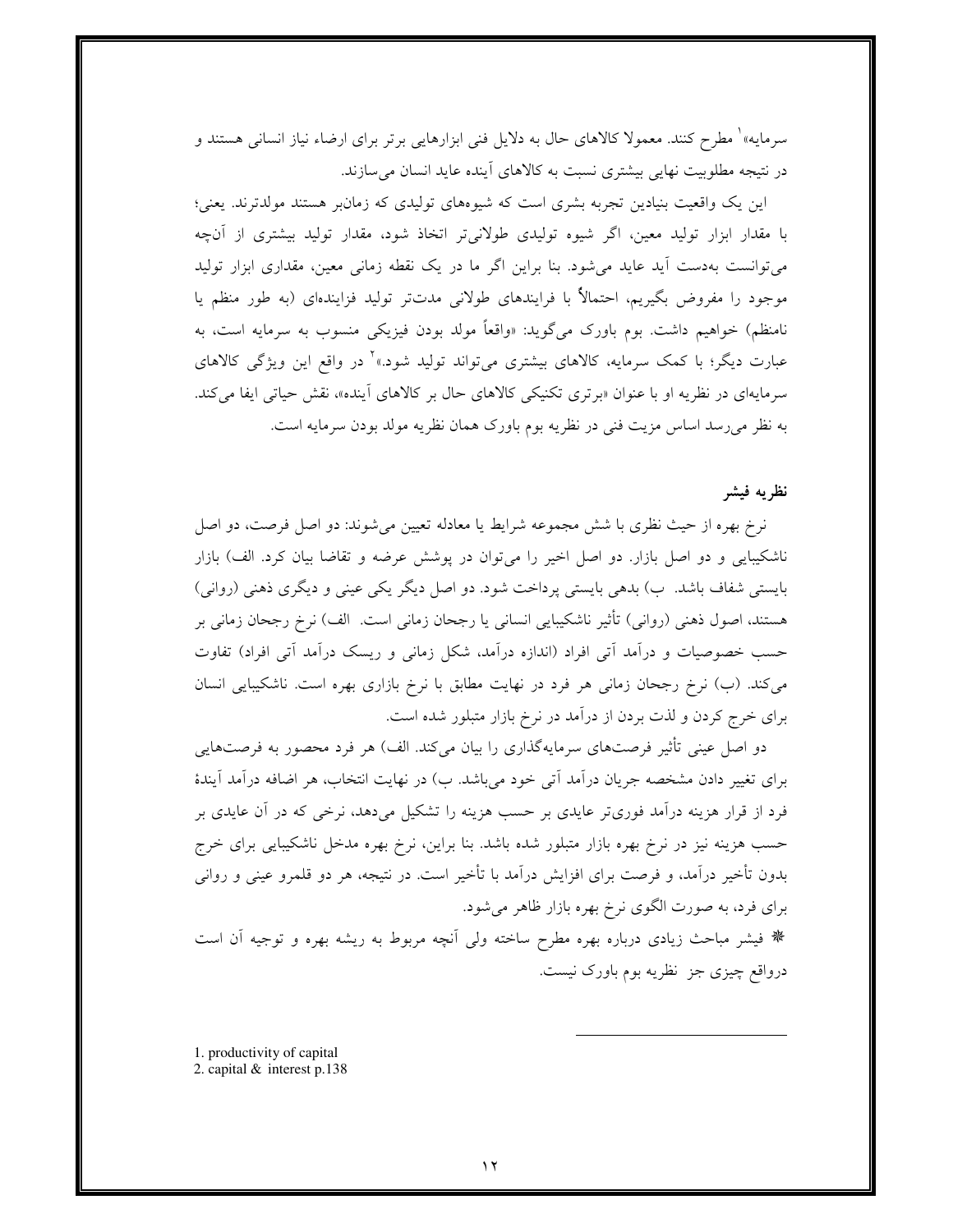سرمایه»<sup>۱</sup> مطرح کنند. معمولا کالاهای حال به دلایل فنی ابزارهایی برتر برای ارضاء نیاز انسانی هستند و در نتیجه مطلوبیت نهایی بیشتری نسبت به کالاهای آینده عاید انسان می سازند.

این یک واقعیت بنیادین تجربه بشری است که شیوههای تولیدی که زمانبر هستند مولدترند. یعنی؛ با مقدار ابزار تولید معین، اگر شیوه تولیدی طولانیتر اتخاذ شود، مقدار تولید بیشتری از آنچه میتوانست بهدست آید عاید میشود. بنا براین اگر ما در یک نقطه زمانی معین، مقداری ابزار تولید موجود را مفروض بگیریم، احتمالاً با فرایندهای طولانی مدتتر تولید فزایندهای (به طور منظم یا نامنظم) خواهیم داشت. بوم باورک میگوید: «واقعاً مولد بودن فیزیکی منسوب به سرمایه است، به عبارت دیگر؛ با کمک سرمایه، کالاهای بیشتری می¤واند تولید شود.»<sup>۲</sup> در واقع این ویژگی کالاهای سرمايهاي در نظريه او با عنوان «برتري تكنيكي كالاهاي حال بر كالاهاي آينده»، نقش حياتي ايفا مي كند. به نظر می رسد اساس مزیت فنی در نظریه بوم باورک همان نظریه مولد بودن سرمایه است.

### نظريه فيشر

نرخ بهره از حیث نظری با شش مجموعه شرایط یا معادله تعیین میشوند: دو اصل فرصت، دو اصل ناشکیبایی و دو اصل بازار. دو اصل اخیر را می توان در پوشش عرضه و تقاضا بیان کرد. الف) بازار بایستی شفاف باشد. ب) بدهی بایستی پرداخت شود. دو اصل دیگر یکی عینی و دیگری ذهنی (روانی) هستند، اصول ذهنی (روانی) تأثیر ناشکیبایی انسانی یا رجحان زمانی است. الف) نرخ رجحان زمانی بر حسب خصوصیات و درآمد آتی افراد (اندازه درآمد، شکل زمانی و ریسک درآمد آتی افراد) تفاوت می کند. (ب) نرخ رجحان زمانی هر فرد در نهایت مطابق با نرخ بازاری بهره است. ناشکیبایی انسان برای خرج کردن و لذت بردن از درآمد در نرخ بازار متبلور شده است.

دو اصل عینی تأثیر فرصتهای سرمایهگذاری را بیان میکند. الف) هر فرد محصور به فرصتهایی برای تغییر دادن مشخصه جریان درآمد آتی خود میباشد. ب) در نهایت انتخاب، هر اضافه درآمد آیندهٔ فرد از قرار هزینه درآمد فوریتر عایدی بر حسب هزینه را تشکیل میدهد، نرخی که در آن عایدی بر حسب هزینه نیز در نرخ بهره بازار متبلور شده باشد. بنا براین، نرخ بهره مدخل ناشکیبایی برای خرج بدون تأخیر درآمد، و فرصت برای افزایش درآمد با تأخیر است. در نتیجه، هر دو قلمرو عینی و روانی برای فرد، به صورت الگوی نرخ بهره بازار ظاهر می شود. ※ فیشر مباحث زیادی درباره بهره مطرح ساخته ولی آنچه مربوط به ریشه بهره و توجیه آن است

درواقع چیزی جز نظریه بوم باورک نیست.

1. productivity of capital 2. capital  $\&$  interest p.138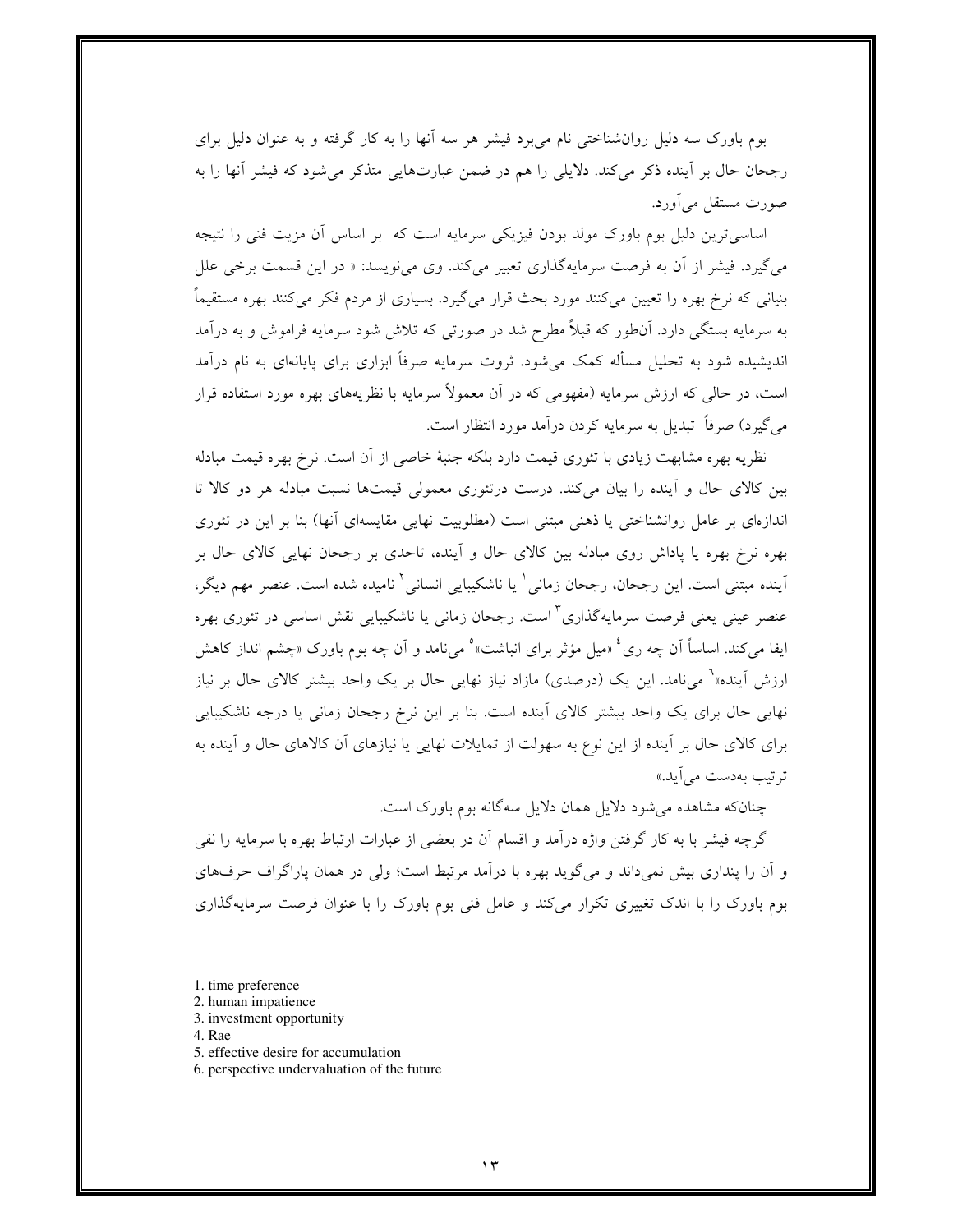بوم باورک سه دلیل روانشناختی نام میبرد فیشر هر سه آنها را به کار گرفته و به عنوان دلیل برای رجحان حال بر آینده ذکر می کند. دلایلی را هم در ضمن عبارتهایی متذکر می شود که فیشر آنها را به صورت مستقل مي أورد.

اساسی ترین دلیل بوم باورک مولد بودن فیزیکی سرمایه است که بر اساس آن مزیت فنی را نتیجه می گیرد. فیشر از آن به فرصت سرمایهگذاری تعبیر میکند. وی می نویسد: « در این قسمت برخی علل بنیانی که نرخ بهره را تعیین میکنند مورد بحث قرار میگیرد. بسیاری از مردم فکر میکنند بهره مستقیماً به سرمایه بستگی دارد. آنطور که قبلاً مطرح شد در صورتی که تلاش شود سرمایه فراموش و به درآمد اندیشیده شود به تحلیل مسأله کمک می شود. ثروت سرمایه صرفاً ابزاری برای پایانهای به نام درآمد است، در حالی که ارزش سرمایه (مفهومی که در آن معمولاً سرمایه با نظریههای بهره مورد استفاده قرار مي گيرد) صرفاً تبديل به سرمايه كردن درآمد مورد انتظار است.

نظریه بهره مشابهت زیادی با تئوری قیمت دارد بلکه جنبهٔ خاصی از آن است. نرخ بهره قیمت مبادله بین کالای حال و آینده را بیان میکند. درست درتئوری معمولی قیمتها نسبت مبادله هر دو کالا تا اندازهای بر عامل روانشناختی یا ذهنی مبتنی است (مطلوبیت نهایی مقایسهای آنها) بنا بر این در تئوری بهره نرخ بهره یا یاداش روی مبادله بین کالای حال و آینده، تاحدی بر رجحان نهایی کالای حال بر آينده مبتني است. اين رجحان، رجحان زماني ` يا ناشكيبايي انساني <sup>٢</sup> ناميده شده است. عنصر مهم ديگر، عنصر عینی یعنی فرصت سرمایهگذاری<sup>۳</sup> است. رجحان زمانی یا ناشکیبایی نقش اساسی در تئوری بهره ایفا میکند. اساساً اَن چه ری ٔ «میل مؤثر برای انباشت» ْ میiامد و اَن چه بوم باورک «چشم انداز کاهش ارزش آینده»<sup>٦</sup> میiمد. این یک (درصدی) مازاد نیاز نهایی حال بر یک واحد بیشتر کالای حال بر نیاز نهایی حال برای یک واحد بیشتر کالای آینده است. بنا بر این نرخ رجحان زمانی یا درجه ناشکیبایی برای کالای حال بر آینده از این نوع به سهولت از تمایلات نهایی یا نیازهای آن کالاهای حال و آینده به تر تیب بهدست می آید.»

چنانکه مشاهده می شود دلایل همان دلایل سهگانه بوم باورک است.

گرچه فیشر با به کار گرفتن واژه درآمد و اقسام آن در بعضی از عبارات ارتباط بهره با سرمایه را نفی و أن را پنداری بیش نمیداند و میگوید بهره با درآمد مرتبط است؛ ولی در همان پاراگراف حرفهای بوم باورک را با اندک تغییری تکرار میکند و عامل فنی بوم باورک را با عنوان فرصت سرمایهگذاری

- 1. time preference
- 2. human impatience
- 3. investment opportunity

4. Rae

- 5. effective desire for accumulation
- 6. perspective undervaluation of the future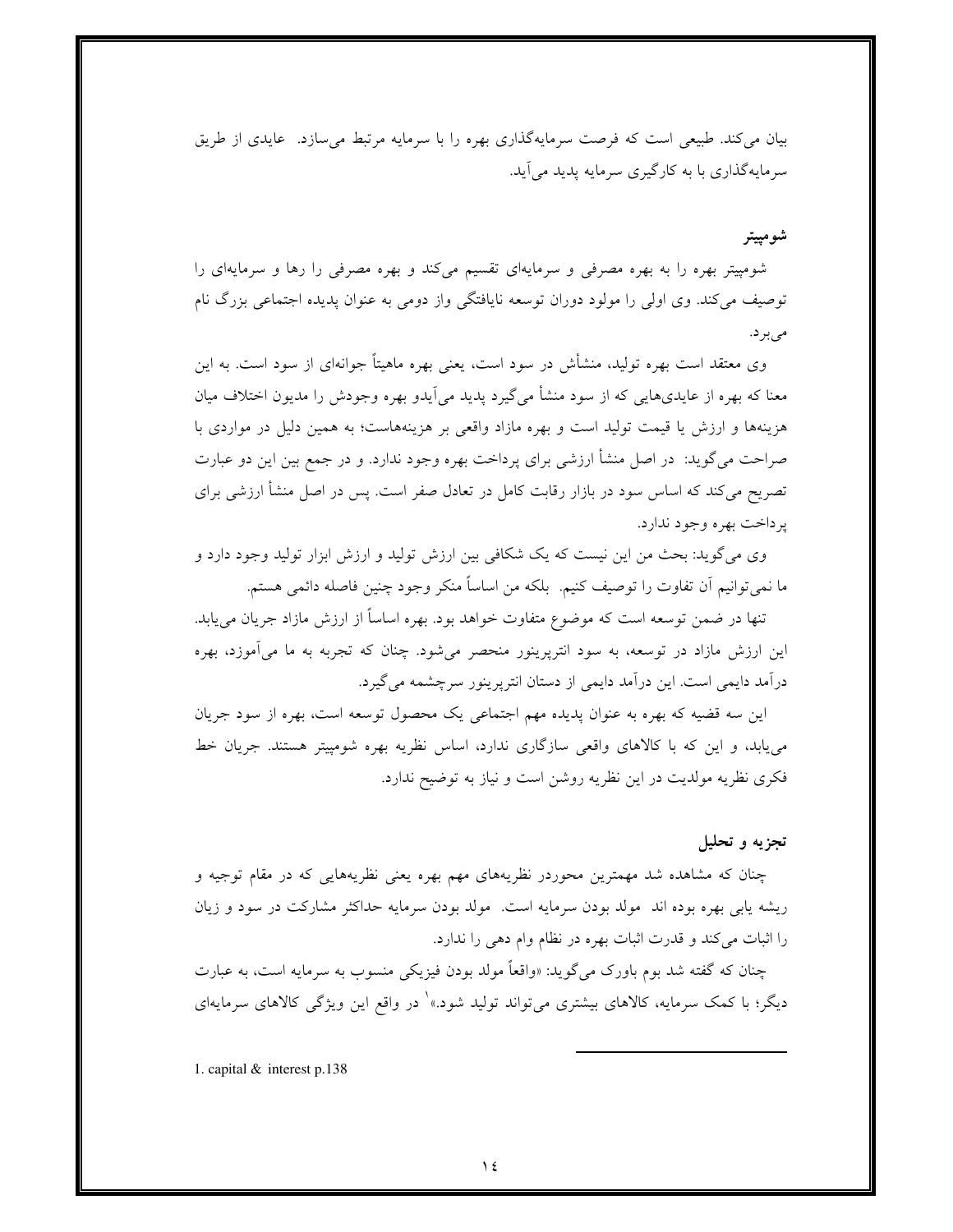بیان می کند. طبیعی است که فرصت سرمایهگذاری بهره را با سرمایه مرتبط می سازد. عایدی از طریق سرمایهگذاری با به کارگیری سرمایه پدید می آید.

### شومپيتر

شومپیتر بهره را به بهره مصرفی و سرمایهای تقسیم میکند و بهره مصرفی را رها و سرمایهای را توصيف مي كند. وي اولي را مولود دوران توسعه نايافتگي واز دومي به عنوان يديده اجتماعي بزرگ نام ميبرد.

وی معتقد است بهره تولید، منشأش در سود است، یعنی بهره ماهیتاً جوانهای از سود است. به این معنا که بهره از عایدیهایی که از سود منشأ میگیرد پدید می]یدو بهره وجودش را مدیون اختلاف میان هزینهها و ارزش یا قیمت تولید است و بهره مازاد واقعی بر هزینههاست؛ به همین دلیل در مواردی با صراحت می گوید: در اصل منشأ ارزشی برای پرداخت بهره وجود ندارد. و در جمع بین این دو عبارت تصریح میکند که اساس سود در بازار رقابت کامل در تعادل صفر است. پس در اصل منشأ ارزشی برای يرداخت بهره وجود ندارد.

وی میگوید: بحث من این نیست که یک شکافی بین ارزش تولید و ارزش ابزار تولید وجود دارد و ما نمي توانيم أن تفاوت را توصيف كنيم. بلكه من اساساً منكر وجود چنين فاصله دائمي هستم.

تنها در ضمن توسعه است که موضوع متفاوت خواهد بود. بهره اساساً از ارزش مازاد جریان می یابد. این ارزش مازاد در توسعه، به سود انتریرینور منحصر می شود. چنان که تجربه به ما می آموزد، بهره درآمد دایمی است. این درآمد دایمی از دستان انترپرینور سرچشمه می گیرد.

این سه قضیه که بهره به عنوان پدیده مهم اجتماعی یک محصول توسعه است، بهره از سود جریان می یابد، و این که با کالاهای واقعی سازگاری ندارد، اساس نظریه بهره شومپیتر هستند. جریان خط فکری نظریه مولدیت در این نظریه روشن است و نیاز به توضیح ندارد.

### تجزیه و تحلیل

چنان که مشاهده شد مهمترین محوردر نظریههای مهم بهره یعنی نظریههایی که در مقام توجیه و ریشه یابی بهره بوده اند مولد بودن سرمایه است. مولد بودن سرمایه حداکثر مشارکت در سود و زیان را اثبات می کند و قدرت اثبات بهره در نظام وام دهی را ندارد.

چنان که گفته شد بوم باورک می گوید: «واقعاً مولد بودن فیزیکی منسوب به سرمایه است، به عبارت دیگر؛ با کمک سرمایه، کالاهای بیشتری میتواند تولید شود.»<sup>۱</sup> در واقع این ویژگ<sub>ی</sub> کالاهای سرمایهای

1. capital  $\&$  interest p.138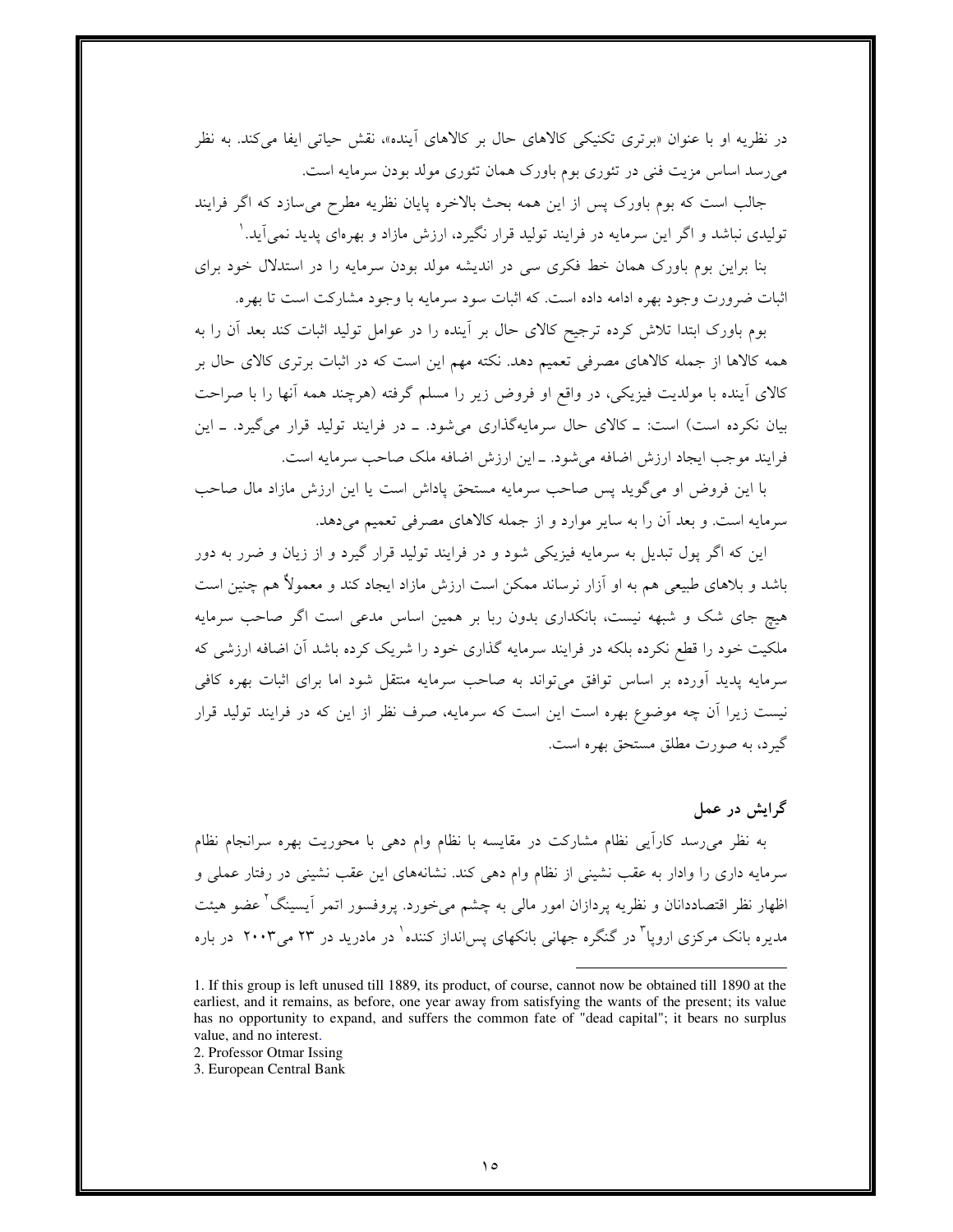در نظریه او با عنوان «برتری تکنیکی کالاهای حال بر کالاهای آینده»، نقش حیاتی ایفا میکند. به نظر می رسد اساس مزیت فنی در تئوری بوم باورک همان تئوری مولد بودن سرمایه است.

جالب است که بوم باورک پس از این همه بحث بالاخره پایان نظریه مطرح میسازد که اگر فرایند تولیدی نباشد و اگر این سرمایه در فرایند تولید قرار نگیرد، ارزش مازاد و بهرمای پدید نمی آید. ٰ

بنا براین بوم باورک همان خط فکری سی در اندیشه مولد بودن سرمایه را در استدلال خود برای اثبات ضرورت وجود بهره ادامه داده است. که اثبات سود سرمایه با وجود مشارکت است تا بهره.

بوم باورک ابتدا تلاش کرده ترجیح کالای حال بر آینده را در عوامل تولید اثبات کند بعد آن را به همه کالاها از جمله کالاهای مصرفی تعمیم دهد. نکته مهم این است که در اثبات برتری کالای حال بر کالای آینده با مولدیت فیزیکی، در واقع او فروض زیر را مسلم گرفته (هرچند همه آنها را با صراحت بیان نکرده است) است: ـ کالای حال سرمایهگذاری میشود. ـ در فرایند تولید قرار میگیرد. ـ این فرايند موجب ايجاد ارزش اضافه مي شود. ـ اين ارزش اضافه ملک صاحب سرمايه است.

با این فروض او می گوید پس صاحب سرمایه مستحق یاداش است یا این ارزش مازاد مال صاحب سرمایه است. و بعد آن را به سایر موارد و از جمله کالاهای مصرفی تعمیم میدهد.

این که اگر پول تبدیل به سرمایه فیزیکی شود و در فرایند تولید قرار گیرد و از زیان و ضرر به دور باشد و بلاهای طبیعی هم به او آزار نرساند ممکن است ارزش مازاد ایجاد کند و معمولاً هم چنین است هیچ جای شک و شبهه نیست، بانکداری بدون ربا بر همین اساس مدعی است اگر صاحب سرمایه ملکیت خود را قطع نکرده بلکه در فرایند سرمایه گذاری خود را شریک کرده باشد آن اضافه ارزشی که سرمایه یدید آورده بر اساس توافق میتواند به صاحب سرمایه منتقل شود اما برای اثبات بهره کافی نیست زیرا آن چه موضوع بهره است این است که سرمایه، صرف نظر از این که در فرایند تولید قرار گيرد، به صورت مطلق مستحق بهره است.

گرایش در عمل

به نظر می٫سد کاراَیی نظام مشارکت در مقایسه با نظام وام دهی با محوریت بهره سرانجام نظام سرمایه داری را وادار به عقب نشینی از نظام وام دهی کند. نشانههای این عقب نشینی در رفتار عملی و اظهار نظر اقتصاددانان و نظریه پردازان امور مالی به چشم میخورد. پروفسور اتمر آیسینگ<sup>۲</sup> عضو هیئت مدیره بانک مرکزی اروپا<sup>۳</sup> در گنگره جهانی بانکهای پس|نداز کننده<sup>۱</sup> در مادرید در ۲۳ می۲۰۰۳ در باره

<sup>1.</sup> If this group is left unused till 1889, its product, of course, cannot now be obtained till 1890 at the earliest, and it remains, as before, one year away from satisfying the wants of the present; its value has no opportunity to expand, and suffers the common fate of "dead capital"; it bears no surplus value, and no interest.

<sup>2.</sup> Professor Otmar Issing

<sup>3.</sup> European Central Bank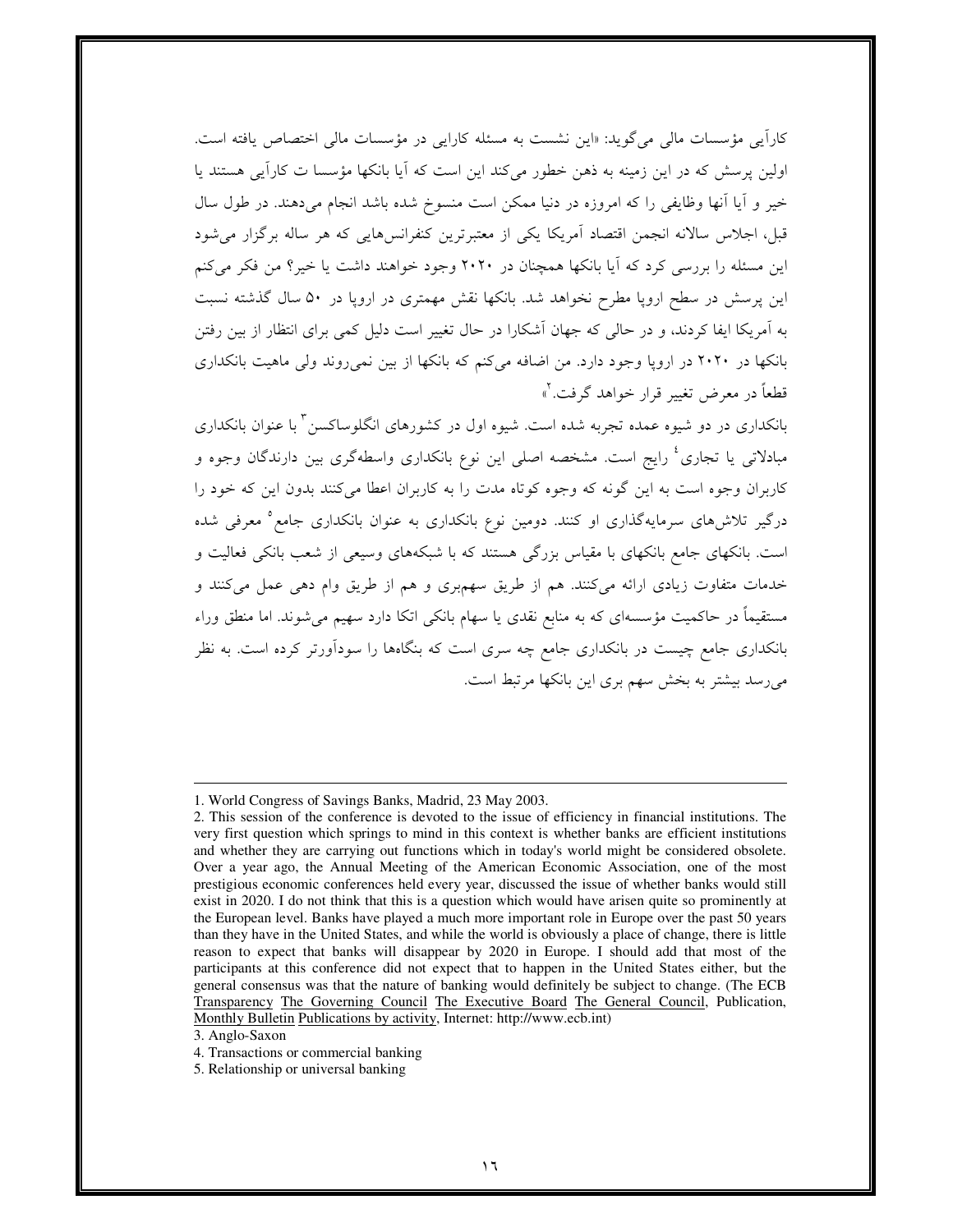کارآیی مؤسسات مالی می گوید: «این نشست به مسئله کارایی در مؤسسات مالی اختصاص یافته است. اولین پرسش که در این زمینه به ذهن خطور می کند این است که آیا بانکها مؤسسا ت کارآیے, هستند یا خير و آيا آنها وظايفي را كه امروزه در دنيا ممكن است منسوخ شده باشد انجام ميدهند. در طول سال قبل، اجلاس سالانه انجمن اقتصاد آمريكا يكي از معتبرترين كنفرانسهايي كه هر ساله برگزار مي شود این مسئله را بررسی کرد که آیا بانکها همچنان در ۲۰۲۰ وجود خواهند داشت یا خیر؟ من فکر می کنم این پرسش در سطح اروپا مطرح نخواهد شد. بانکها نقش مهمتری در اروپا در ۵۰ سال گذشته نسبت به آمریکا ایفا کردند، و در حالی که جهان آشکارا در حال تغییر است دلیل کمی برای انتظار از بین رفتن بانکها در ۲۰۲۰ در اروپا وجود دارد. من اضافه می کنم که بانکها از بین نمی روند ولی ماهیت بانکداری قطعاً در معرض تغییر قرار خواهد گرفت. ٌ»

بانکداری در دو شیوه عمده تجربه شده است. شیوه اول در کشورهای انگلوساکسن آ با عنوان بانکداری مبادلاتی یا تجاری<sup>،</sup> رایج است. مشخصه اصلی این نوع بانکداری واسطهگری بین دارندگان وجوه و کاربران وجوه است به این گونه که وجوه کوتاه مدت را به کاربران اعطا میکنند بدون این که خود را درگیر تلاشهای سرمایهگذاری او کنند. دومین نوع بانکداری به عنوان بانکداری جامع<sup>ه</sup> معرفی شده است. بانکهای جامع بانکهای با مقیاس بزرگی هستند که با شبکههای وسیعی از شعب بانکی فعالیت و خدمات متفاوت زیادی ارائه میکنند. هم از طریق سهمبری و هم از طریق وام دهی عمل میکنند و مستقیماً در حاکمیت مؤسسهای که به منابع نقدی یا سهام بانکی اتکا دارد سهیم می شوند. اما منطق وراء بانکداری جامع چیست در بانکداری جامع چه سری است که بنگاهها را سودآورتر کرده است. به نظر میرسد بیشتر به بخش سهم بری این بانکها مرتبط است.

<sup>1.</sup> World Congress of Savings Banks, Madrid, 23 May 2003.

<sup>2.</sup> This session of the conference is devoted to the issue of efficiency in financial institutions. The very first question which springs to mind in this context is whether banks are efficient institutions and whether they are carrying out functions which in today's world might be considered obsolete. Over a year ago, the Annual Meeting of the American Economic Association, one of the most prestigious economic conferences held every year, discussed the issue of whether banks would still exist in 2020. I do not think that this is a question which would have arisen quite so prominently at the European level. Banks have played a much more important role in Europe over the past 50 years than they have in the United States, and while the world is obviously a place of change, there is little reason to expect that banks will disappear by 2020 in Europe. I should add that most of the participants at this conference did not expect that to happen in the United States either, but the general consensus was that the nature of banking would definitely be subject to change. (The ECB Transparency The Governing Council The Executive Board The General Council, Publication, Monthly Bulletin Publications by activity, Internet: http://www.ecb.int)

<sup>3.</sup> Anglo-Saxon

<sup>4.</sup> Transactions or commercial banking

<sup>5.</sup> Relationship or universal banking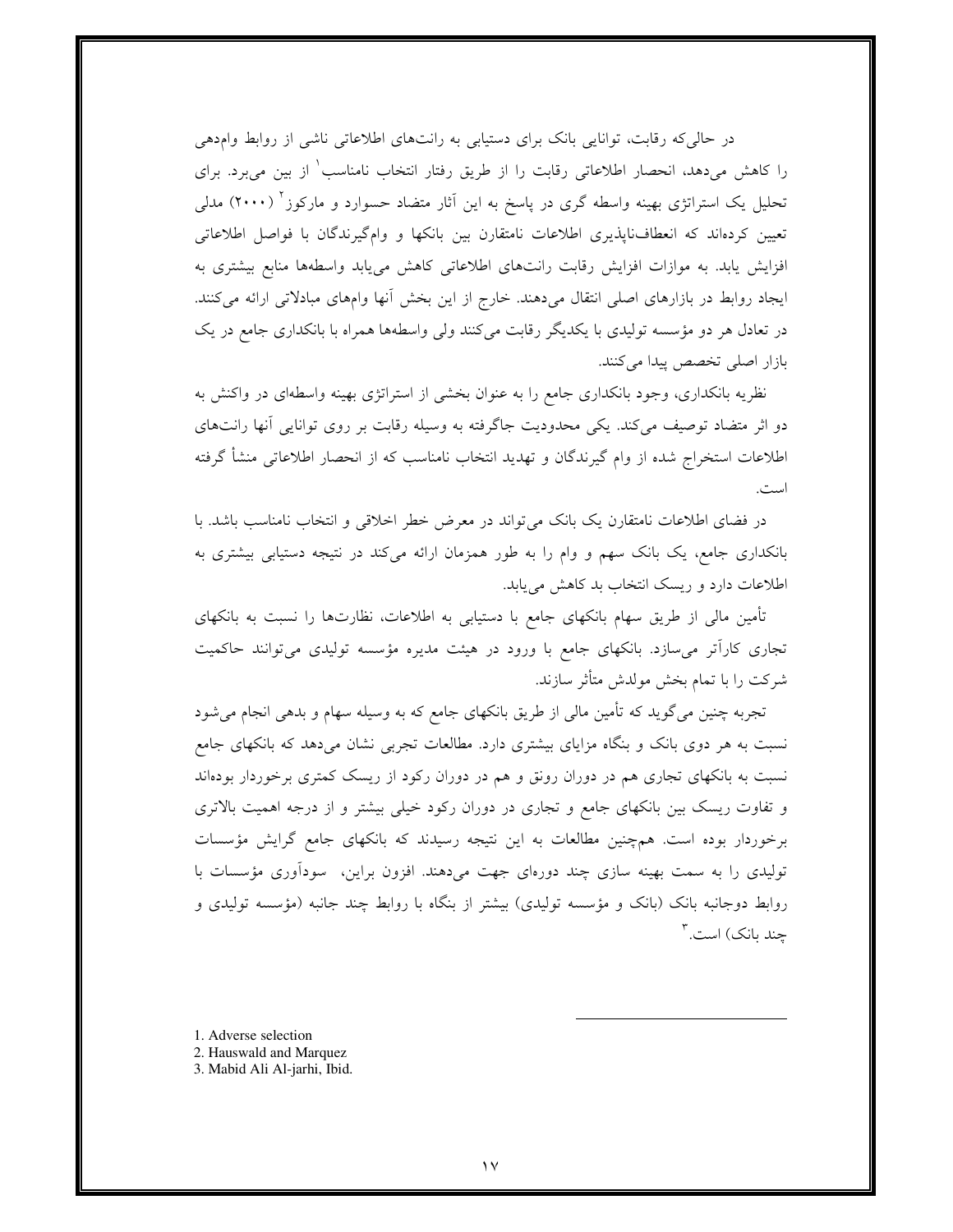در حالی که رقابت، توانایی بانک برای دستیابی به رانتهای اطلاعاتی ناشی از روابط وامدهی را کاهش میدهد، انحصار اطلاعاتی رقابت را از طریق رفتار انتخاب نامناسب ٰ از بین میبرد. برای تحلیل یک استراتژی بهینه واسطه گری در پاسخ به این آثار متضاد حسوارد و مارکوز<sup>۲</sup> (۲۰۰۰) مدل<sub>ی</sub> تعیین کردهاند که انعطاف ناپذیری اطلاعات نامتقارن بین بانکها و وامگیرندگان با فواصل اطلاعاتی افزایش یابد. به موازات افزایش رقابت رانتهای اطلاعاتی کاهش می یابد واسطهها منابع بیشتری به ایجاد روابط در بازارهای اصلی انتقال میدهند. خارج از این بخش آنها وامهای مبادلاتی ارائه میکنند. در تعادل هر دو مؤسسه تولیدی با یکدیگر رقابت میکنند ولی واسطهها همراه با بانکداری جامع در یک بازار اصلی تخصص پیدا میکنند.

نظریه بانکداری، وجود بانکداری جامع را به عنوان بخشی از استراتژی بهینه واسطهای در واکنش به دو اثر متضاد توصیف میکند. یکی محدودیت جاگرفته به وسیله رقابت بر روی توانایی آنها رانتهای اطلاعات استخراج شده از وام گیرندگان و تهدید انتخاب نامناسب که از انحصار اطلاعاتی منشأ گرفته است.

در فضاي اطلاعات نامتقارن يک بانک مي تواند در معرض خطر اخلاقي و انتخاب نامناسب باشد. با بانکداری جامع، یک بانک سهم و وام را به طور همزمان ارائه میکند در نتیجه دستیابی بیشتری به اطلاعات دارد و ریسک انتخاب بد کاهش می یابد.

تأمین مالی از طریق سهام بانکهای جامع با دستیابی به اطلاعات، نظارتها را نسبت به بانکهای تجاری کاراتر میسازد. بانکهای جامع با ورود در هیئت مدیره مؤسسه تولیدی میتوانند حاکمیت شرکت را با تمام بخش مولدش متأثر سازند.

تجربه چنین میگوید که تأمین مالی از طریق بانکهای جامع که به وسیله سهام و بدهی انجام میشود نسبت به هر دوی بانک و بنگاه مزایای بیشتری دارد. مطالعات تجربی نشان میدهد که بانکهای جامع نسبت به بانکهای تجاری هم در دوران رونق و هم در دوران رکود از ریسک کمتری برخوردار بودهاند و تفاوت ریسک بین بانکهای جامع و تجاری در دوران رکود خیلی بیشتر و از درجه اهمیت بالاتری برخوردار بوده است. همچنین مطالعات به این نتیجه رسیدند که بانکهای جامع گرایش مؤسسات تولیدی را به سمت بهینه سازی چند دورهای جهت میدهند. افزون براین، سودآوری مؤسسات با روابط دوجانبه بانک (بانک و مؤسسه تولیدی) بیشتر از بنگاه با روابط چند جانبه (مؤسسه تولیدی و چند بانک) است.<sup>۳</sup>

1. Adverse selection

2. Hauswald and Marquez

3. Mabid Ali Al-jarhi, Ibid.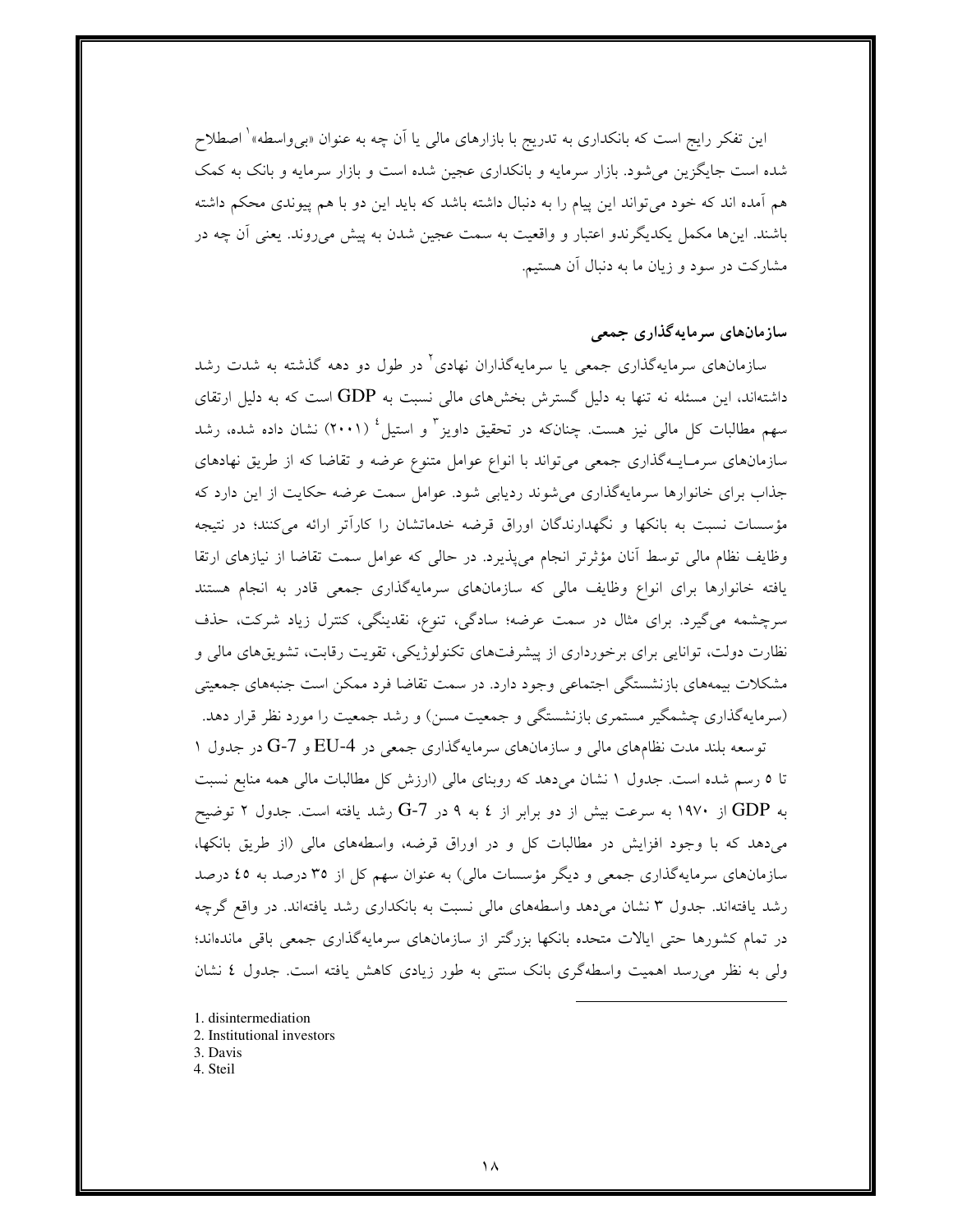این تفکر رایج است که بانکداری به تدریج با بازارهای مال<sub>ی</sub> یا اَن چه به عنوان «بیeاسطه» ٰ اصطلاح شده است جایگزین می شود. بازار سرمایه و بانکداری عجین شده است و بازار سرمایه و بانک به کمک هم آمده اند که خود می تواند این پیام را به دنبال داشته باشد که باید این دو با هم پیوندی محکم داشته باشند. اینها مکمل یکدیگرندو اعتبار و واقعیت به سمت عجین شدن به پیش میروند. یعنی آن چه در مشارکت در سود و زیان ما به دنبال آن هستیم.

# سازمانهای سرمایهگذاری جمعی

سازمانهای سرمایهگذاری جمعی یا سرمایهگذاران نهادی<sup>۲</sup> در طول دو دهه گذشته به شدت رشد داشتهاند، این مسئله نه تنها به دلیل گسترش بخشهای مالی نسبت به GDP است که به دلیل ارتقای سهم مطالبات کل مالی نیز هست. چنانکه در تحقیق داویز <sup>۳</sup> و استیل ٔ (۲۰۰۱) نشان داده شده، رشد سازمانهای سرمـایــهگذاری جمعی می¤واند با انواع عوامل متنوع عرضه و تقاضا که از طریق نهادهای جذاب برای خانوارها سرمایهگذاری می شوند ردیابی شود. عوامل سمت عرضه حکایت از این دارد که مؤسسات نسبت به بانکها و نگهدارندگان اوراق قرضه خدماتشان را کاراتر ارائه میکنند؛ در نتیجه وظایف نظام مالی توسط آنان مؤثرتر انجام می پذیرد. در حالی که عوامل سمت تقاضا از نیازهای ارتقا یافته خانوارها برای انواع وظایف مالی که سازمانهای سرمایهگذاری جمعی قادر به انجام هستند سرچشمه میگیرد. برای مثال در سمت عرضه؛ سادگی، تنوع، نقدینگی، کنترل زیاد شرکت، حذف نظارت دولت، توانایی برای برخورداری از پیشرفتهای تکنولوژیکی، تقویت رقابت، تشویقهای مالی و مشکلات بیمههای بازنشستگی اجتماعی وجود دارد. در سمت تقاضا فرد ممکن است جنبههای جمعیتی (سرمایهگذاری چشمگیر مستمری بازنشستگی و جمعیت مسن) و رشد جمعیت را مورد نظر قرار دهد.

توسعه بلند مدت نظامهای مالی و سازمانهای سرمایهگذاری جمعی در EU-4 و G-7 در جدول ۱ تا ٥ رسم شده است. جدول ١ نشان مىدهد كه روبناى مالى (ارزش كل مطالبات مالى همه منابع نسبت به GDP از ۱۹۷۰ به سرعت بیش از دو برابر از ٤ به ۹ در G-7 رشد یافته است. جدول ۲ توضیح میدهد که با وجود افزایش در مطالبات کل و در اوراق قرضه، واسطههای مالی (از طریق بانکها، سازمانهای سرمایهگذاری جمعی و دیگر مؤسسات مالی) به عنوان سهم کل از ۳۵ درصد به ٤٥ درصد رشد یافتهاند. جدول ۳ نشان میدهد واسطههای مالی نسبت به بانکداری رشد یافتهاند. در واقع گرچه در تمام کشورها حتی ایالات متحده بانکها بزرگتر از سازمانهای سرمایهگذاری جمعی باقی ماندهاند؛ ولی به نظر میرسد اهمیت واسطهگری بانک سنتی به طور زیادی کاهش یافته است. جدول ٤ نشان

- 1. disintermediation
- 2. Institutional investors
- 3. Davis
- 4. Steil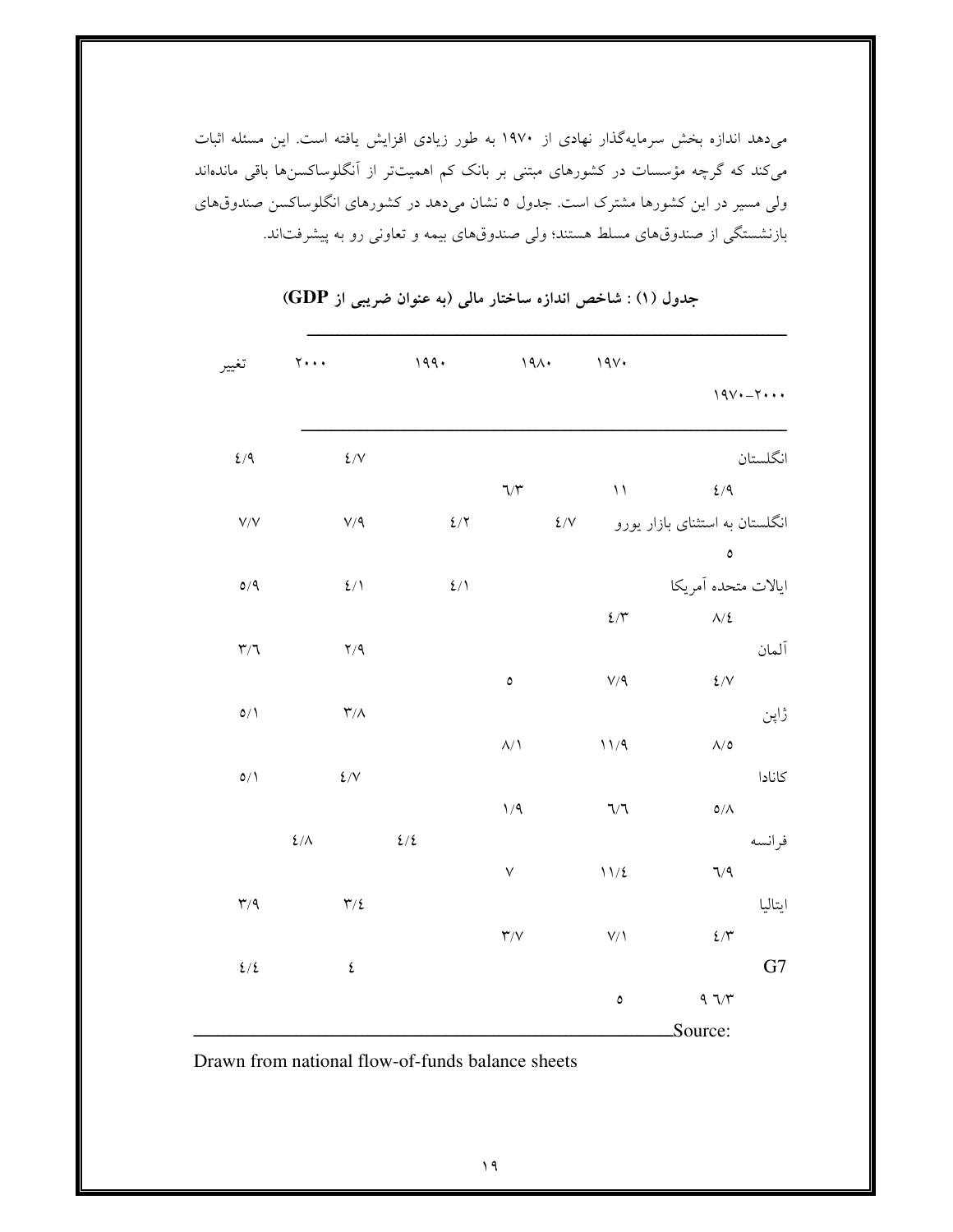میدهد اندازه بخش سرمایهگذار نهادی از ۱۹۷۰ به طور زیادی افزایش یافته است. این مسئله اثبات میکند که گرچه مؤسسات در کشورهای مبتنی بر بانک کم اهمیتتر از آنگلوساکسنها باقی ماندهاند ولی مسیر در این کشورها مشترک است. جدول ٥ نشان میدهد در کشورهای انگلوساکسن صندوقهای بازنشستگی از صندوقهای مسلط هستند؛ ولی صندوقهای بیمه و تعاونی رو به پیشرفتاند.

| تغيير                   | $y \leftrightarrow b$ | 199.      | 191.                               |         | 19V                       |                                |            |
|-------------------------|-----------------------|-----------|------------------------------------|---------|---------------------------|--------------------------------|------------|
|                         |                       |           |                                    |         |                           |                                | $19V - 7$  |
| 2/9                     | 2/V                   |           |                                    |         |                           |                                | انگلستان   |
|                         |                       |           | $\mathcal{V}\backslash\mathcal{V}$ |         | $\backslash$ $\backslash$ | 2/9                            |            |
| $\mathsf{V}/\mathsf{V}$ | $V/\mathcal{A}$       | 2/7       |                                    | $\S$ /V |                           | انگلستان به استثنای بازار یورو |            |
|                         |                       |           |                                    |         |                           | $\circ$                        |            |
| $\mathsf{O}/\mathsf{Q}$ | 2/1                   | 2/1       |                                    |         |                           | ايالات متحده آمريكا            |            |
|                         |                       |           |                                    |         | $\mathcal{E}/\Upsilon$    | $\Lambda/\Sigma$               |            |
| $\mathbf{r}/\mathbf{r}$ | $\Upsilon/\Upsilon$   |           |                                    |         |                           |                                | آلمان      |
|                         |                       |           | $\pmb{\circ}$                      |         | $\mathsf{V}/\mathsf{Q}$   | $\S$ / $V$                     |            |
| O/                      | $\mathbf{Y}/\Lambda$  |           |                                    |         |                           |                                | ژاپن       |
|                         |                       |           | $\Lambda/\Lambda$                  |         | 11/9                      | $\Lambda/\mathfrak{0}$         |            |
| O/                      | 2/V                   |           |                                    |         |                           |                                | كانادا     |
|                         |                       |           | 1/9                                |         | $7/7$                     | $\Delta/\Lambda$               |            |
|                         | $\Sigma/\Lambda$      | $\S/ \xi$ |                                    |         |                           |                                | فرانسه     |
|                         |                       |           | $\lor$                             |         | 11/2                      | 7/9                            |            |
| $\mathbf{r}/\mathbf{q}$ | $\Upsilon/\xi$        |           |                                    |         |                           |                                | ايتاليا    |
|                         |                       |           | $\Upsilon/\Upsilon$                |         | $V/\Lambda$               | $\Sigma/\Upsilon$              |            |
| 2/2                     | ٤                     |           |                                    |         |                           |                                | ${\bf G}7$ |
|                         |                       |           |                                    |         | $\circ$                   | 9.7/T                          |            |
|                         |                       |           |                                    |         |                           | Source:                        |            |

جدول (١) : شاخص اندازه ساختار مالی (به عنوان ضریبی از GDP)

Drawn from national flow-of-funds balance sheets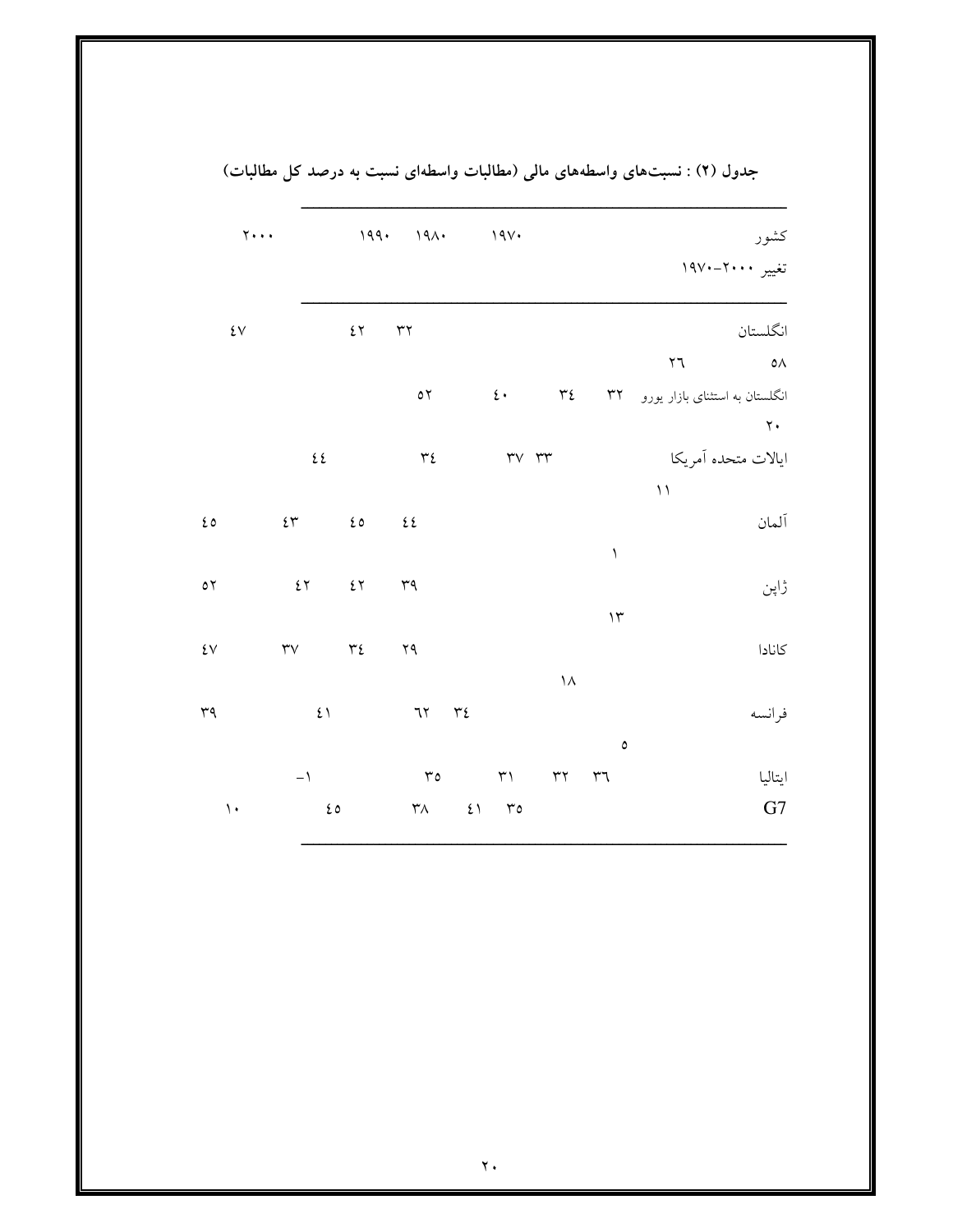| $Y \cdot \cdot \cdot$                     |                                  |                                  | $199 \cdot 191 \cdot 191 \cdot$              |                         |                     |               | كشور                                      |
|-------------------------------------------|----------------------------------|----------------------------------|----------------------------------------------|-------------------------|---------------------|---------------|-------------------------------------------|
|                                           |                                  |                                  |                                              |                         |                     |               | تغيير ٢٠٠٠–١٩٧٠                           |
| $\mathop{\mathsf{t}} \mathop{\mathsf{v}}$ |                                  | $\mathfrak{c}$ $\mathbf{\gamma}$ | $\mathbf{r} \mathbf{r}$                      |                         |                     |               | انگلستان                                  |
|                                           |                                  |                                  |                                              |                         |                     |               | $\circ \wedge$<br>$\mathbf{r} \mathbf{y}$ |
|                                           |                                  |                                  | $\circ$                                      | $2 \cdot$               | $\mathbf{r}$        |               | انگلستان به استثنای بازار یورو ۳۲         |
|                                           |                                  |                                  |                                              |                         |                     |               | $\mathbf{y}\cdot$                         |
|                                           | $\mathfrak{z}\mathfrak{z}$       |                                  | $\tau$                                       | TV TT                   |                     |               | ايالات متحده أمريكا                       |
|                                           |                                  |                                  |                                              |                         |                     |               | $\setminus$                               |
| ٤٥                                        | $\mathop{\mathsf{tr}}$           | 20                               | 22                                           |                         |                     |               | آلمان                                     |
|                                           |                                  |                                  |                                              |                         |                     | $\backslash$  |                                           |
| $\circ \, \curlyvee$                      | $\mathfrak{c}$ $\mathbf{\gamma}$ | 27                               | ٣٩                                           |                         |                     |               | ژاپن                                      |
|                                           |                                  |                                  |                                              |                         |                     | $\mathcal{N}$ |                                           |
| $\mathfrak{t} \vee$                       | $\mathsf{r}\mathsf{v}$           | $\tau$                           | YQ                                           |                         |                     |               | كانادا                                    |
|                                           |                                  |                                  |                                              |                         | $\backslash\Lambda$ |               |                                           |
| ٣٩                                        | $\mathfrak{t}$ )                 |                                  | 77772                                        |                         |                     |               | فرانسه                                    |
|                                           |                                  |                                  |                                              |                         |                     | $\pmb{\circ}$ |                                           |
|                                           | $-1$                             |                                  |                                              | $r_0$ $r_1$ $r_1$ $r_1$ |                     |               | ايتاليا                                   |
| $\mathcal{N}$                             |                                  | $\mathfrak{c}$ 0                 | $\Upsilon \wedge$ $\qquad \qquad \xi \wedge$ | $\mathbf{r}$            |                     |               | G7                                        |
|                                           |                                  |                                  |                                              |                         |                     |               |                                           |

جدول (۲) : نسبتهای واسطههای مالی (مطالبات واسطهای نسبت به درصد کل مطالبات)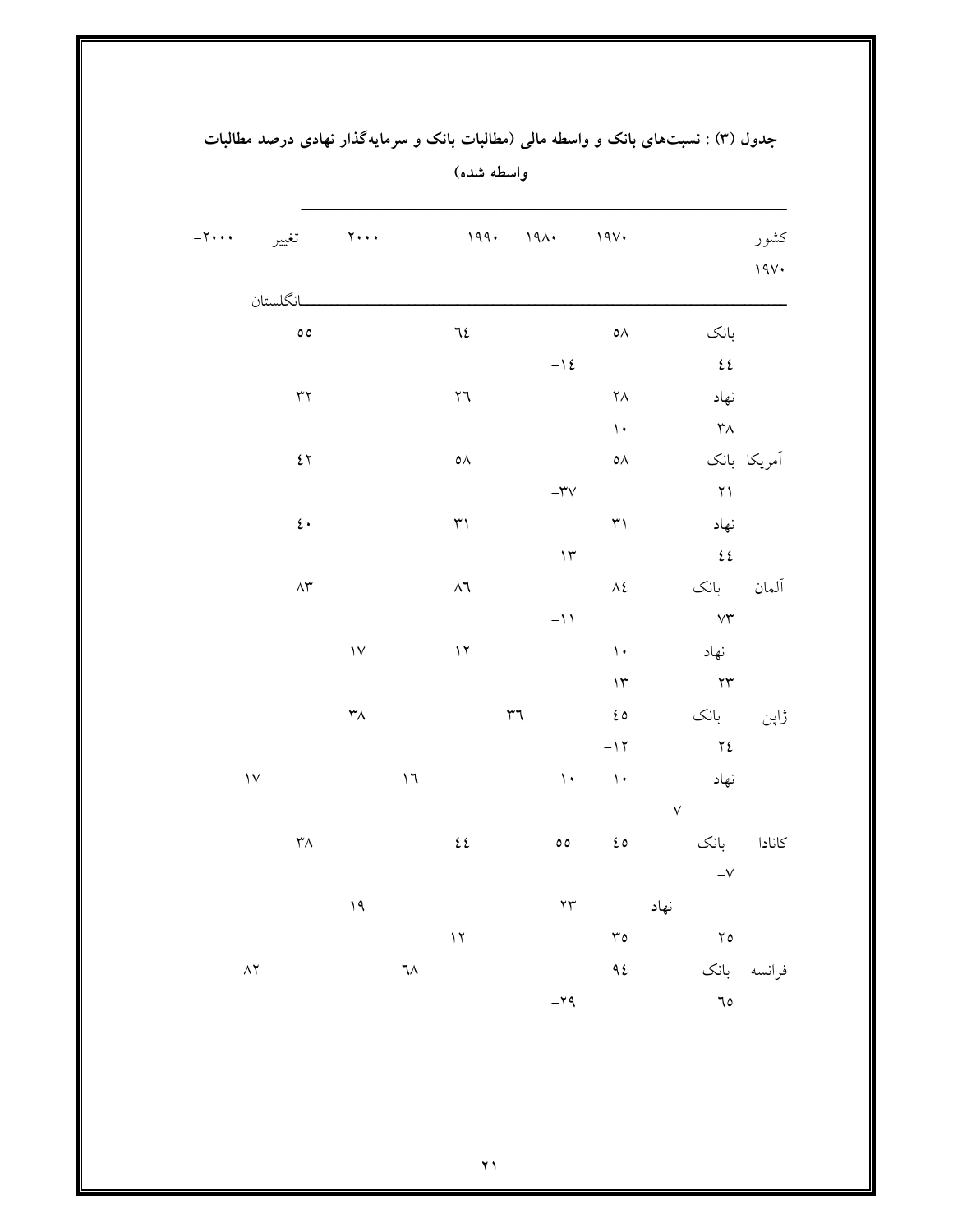| $\mathbf{y} \cdot \cdot \cdot$ | تغيير                                                                         | $\gamma \cdot \cdot \cdot$ |                 |                               | $199 \cdot 191 \cdot$   |                         | 19V                    |                      | كشور<br>19V. |
|--------------------------------|-------------------------------------------------------------------------------|----------------------------|-----------------|-------------------------------|-------------------------|-------------------------|------------------------|----------------------|--------------|
|                                | انگلستان                                                                      |                            |                 |                               |                         |                         |                        |                      |              |
|                                | $\circ$                                                                       |                            |                 | 72                            |                         |                         | $\circ \wedge$         | بانک                 |              |
|                                |                                                                               |                            |                 |                               |                         | $-\lambda \xi$          |                        | 22                   |              |
|                                | $\mathbf{\tilde{y}}$                                                          |                            |                 | $\mathbf{r}$                  |                         |                         | $\mathsf{Y}\Lambda$    | نهاد                 |              |
|                                |                                                                               |                            |                 |                               |                         |                         | $\mathcal{L}$          | $\mathsf{r}_\Lambda$ |              |
|                                | $\mathfrak{c}$ $\mathbf{\gamma}$                                              |                            |                 | $\circ \land$                 |                         |                         | $\circ \wedge$         |                      | أمريكا بانك  |
|                                |                                                                               |                            |                 |                               |                         | $-\mathsf{r}\mathsf{v}$ |                        | $\gamma$             |              |
|                                | $\mathfrak{c}$ .                                                              |                            |                 | $\uparrow\uparrow$            |                         |                         | $\uparrow\uparrow$     | نهاد                 |              |
|                                |                                                                               |                            |                 |                               |                         | $\mathcal{N}$           |                        | $\epsilon$           |              |
|                                | $\wedge\stackrel{\scriptscriptstyle\mathsf{M}}{\scriptscriptstyle\mathsf{F}}$ |                            |                 | $\wedge\uparrow$              |                         |                         | $\wedge\mathcal{E}$    | بانک                 | آلمان        |
|                                |                                                                               |                            |                 |                               |                         | $\ell$ / $\ell$ $-$     |                        | $V\Upsilon$          |              |
|                                |                                                                               | $\mathcal{N}$              |                 | $\mathcal{N}$                 |                         |                         | $\backslash$ .         | نهاد                 |              |
|                                |                                                                               |                            |                 |                               |                         |                         | $\mathcal{N}$          | YY                   |              |
|                                |                                                                               | $\mathsf{r}_\Lambda$       |                 |                               | $\mathsf{r} \mathsf{r}$ |                         | $\mathfrak{c}$ $\circ$ | بانک                 | ژاپن         |
|                                |                                                                               |                            |                 |                               |                         |                         | $-11$ ۲                | $Y\xi$               |              |
|                                | $\mathcal{N}$                                                                 |                            | $\mathcal{F}$ ( |                               |                         | $\mathcal{L}$           | $\backslash$ .         | نهاد                 |              |
|                                |                                                                               |                            |                 |                               |                         |                         |                        | $\checkmark$         |              |
|                                | $\mathsf{r}_\Lambda$                                                          |                            |                 | $\mathfrak{c}$ $\mathfrak{c}$ |                         | $\circ \circ$           | $\epsilon$ 0           | بانک                 | كانادا       |
|                                |                                                                               |                            |                 |                               |                         |                         |                        | $-\sqrt{}$           |              |
|                                |                                                                               | $\lambda$                  |                 |                               |                         | $\mathbf{Y} \mathbf{Y}$ |                        | نهاد                 |              |
|                                |                                                                               |                            |                 | $\gamma$                      |                         |                         | $\mathbf{r}\circ$      | $Y_0$                |              |
|                                | $\wedge\Upsilon$                                                              |                            | $7\lambda$      |                               |                         |                         | 95                     | بانک                 | فر انسه      |
|                                |                                                                               |                            |                 |                               |                         | $-\tau$ ٩               |                        | 70                   |              |

جدول (۳) : نسبتهای بانک و واسطه مالی (مطالبات بانک و سرمایهگذار نهادی درصد مطالبات واسطه شده)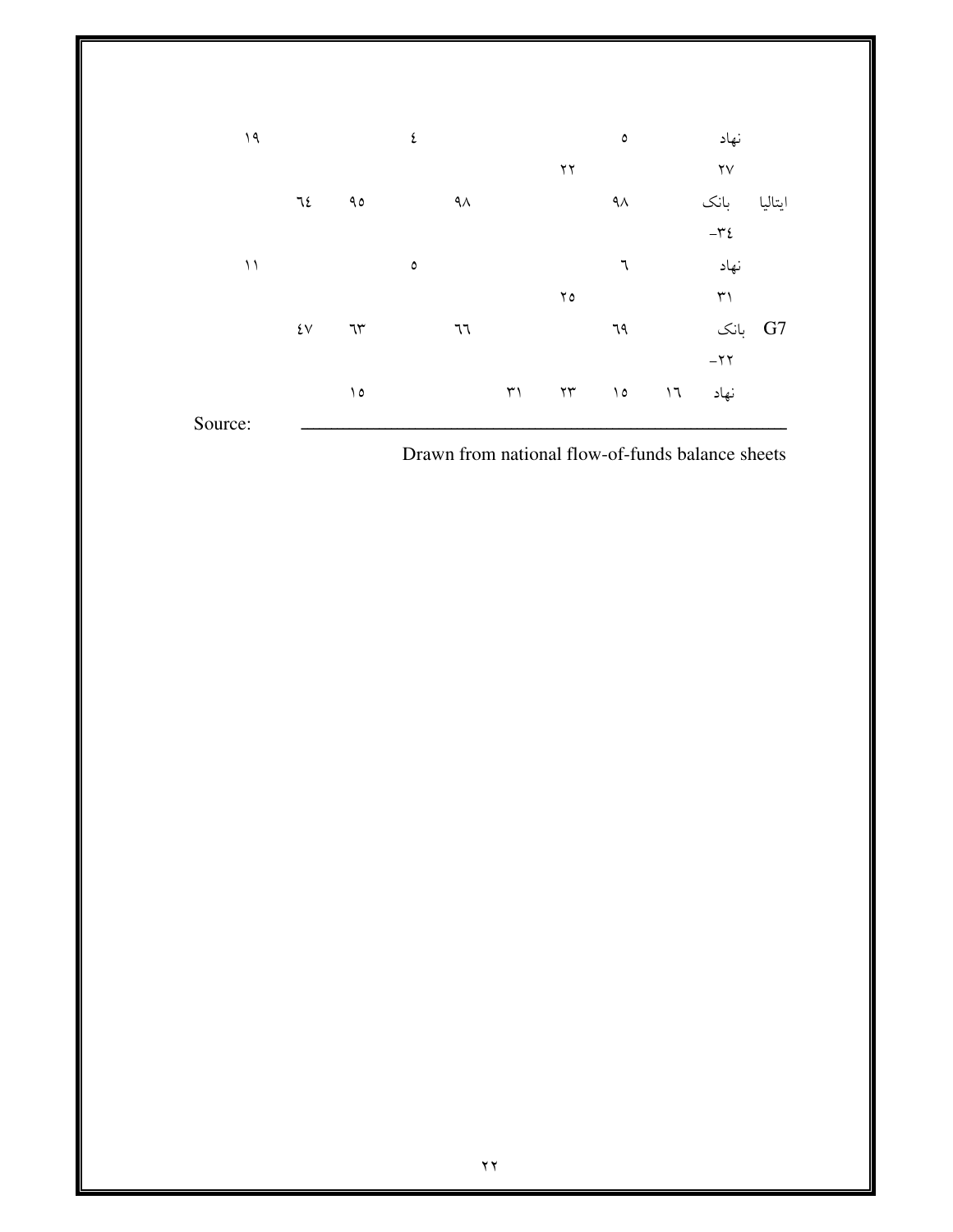

Drawn from national flow-of-funds balance sheets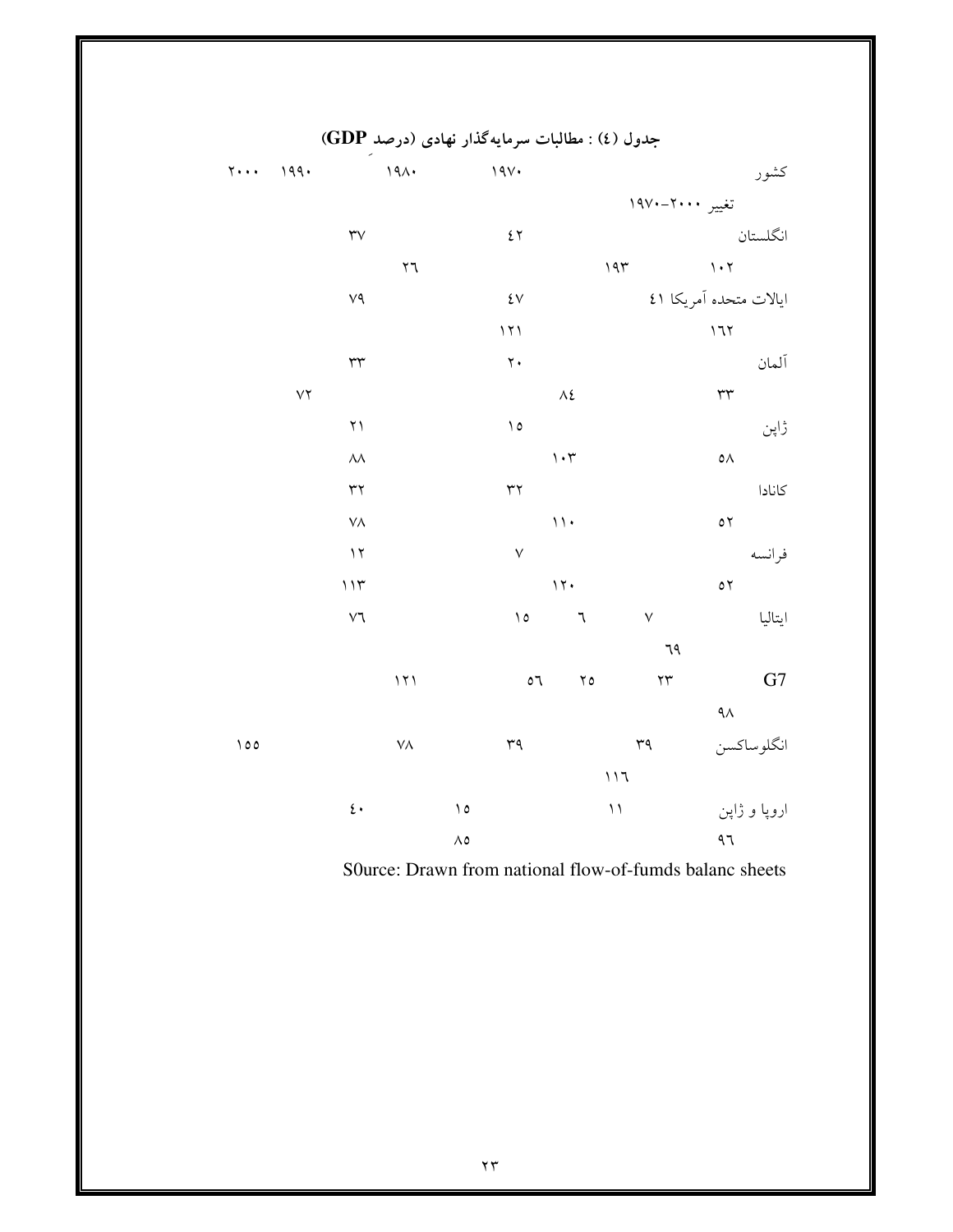|          |                                       | جدوں ( C ) : مطالبات سرمایه تدار بھادی (درصد "ODT) |                |                                  |                               |                                     |                        |              |
|----------|---------------------------------------|----------------------------------------------------|----------------|----------------------------------|-------------------------------|-------------------------------------|------------------------|--------------|
| Y 199.   |                                       | 191.                                               | 19V.           |                                  |                               |                                     |                        | كشور         |
|          |                                       |                                                    |                |                                  |                               | تغيير ٢٠٠٠–١٩٧٠                     |                        |              |
|          | $\mathop{\mathsf{r}\!\!\!\!\!\!\vee}$ |                                                    |                | $\mathfrak{c}$ $\mathbf{\gamma}$ |                               |                                     |                        | انگلستان     |
|          |                                       | ۲٦ $\,$                                            |                |                                  |                               | 197                                 | $\lambda$ + $\lambda$  |              |
|          | $V\mathcal{Q}$                        |                                                    |                | $\mathsf{\acute{e}v}$            |                               |                                     | ایالات متحده آمریکا ٤١ |              |
|          |                                       |                                                    |                | 171                              |                               |                                     | $\mathcal{M}$          |              |
|          | $\mathsf{r}\mathsf{r}$                |                                                    |                | $\mathbf{\bar{y}}$ .             |                               |                                     |                        | آلمان        |
|          | $\vee\!\!$                            |                                                    |                |                                  | $\wedge\mathcal{E}$           |                                     | $\mathsf{r}\mathsf{r}$ |              |
|          | $\upgamma \uparrow$                   |                                                    |                | $\mathcal{L}$                    |                               |                                     |                        | ڑاپن         |
|          | $\wedge\wedge$                        |                                                    |                |                                  | $\mathcal{N}\cdot\mathcal{V}$ |                                     | $\circ \wedge$         |              |
|          | $\mathbf{y}$                          |                                                    |                | $\mathbf{y}$                     |                               |                                     |                        | كانادا       |
|          | $V\Lambda$                            |                                                    |                |                                  | $\mathcal{N}$ .               |                                     | $\circ \, \curlyvee$   |              |
|          | $\gamma$                              |                                                    |                | $\checkmark$                     |                               |                                     |                        | فرانسه       |
|          | $\mathcal{W}$                         |                                                    |                |                                  | $\backslash\,\mathbf{Y}$ .    |                                     | $\circ \, \curlyvee$   |              |
|          | $\mathsf{V}\mathsf{V}$                |                                                    |                | $\Delta$                         | ٦                             | $\sqrt{}$                           |                        | ايتاليا      |
|          |                                       |                                                    |                |                                  |                               | 79                                  |                        |              |
|          |                                       | $\sqrt{7}$                                         |                | $\circ$                          | $\mathbf{y}$                  | $\mathbf{Y}\mathbf{Y}$              |                        | G7           |
|          |                                       |                                                    |                |                                  |                               |                                     | $4\lambda$             |              |
| $\Omega$ |                                       | $V\Lambda$                                         |                | ٣٩                               |                               | $\uparrow\uparrow\uparrow$          |                        | انگلوساكسن   |
|          |                                       |                                                    |                |                                  |                               | $\mathcal{N} \setminus \mathcal{N}$ |                        |              |
|          | $\mathfrak{c}$ .                      |                                                    | $\Delta$       |                                  |                               | $\backslash$ $\backslash$           |                        | اروپا و ژاپن |
|          |                                       |                                                    | $\wedge \circ$ |                                  |                               |                                     | $\uparrow\uparrow$     |              |

 $CDP$ والدمج ذال وزار  $-1$   $11h_2 + (6)$   $1.1$ 

S0urce: Drawn from national flow-of-fumds balanc sheets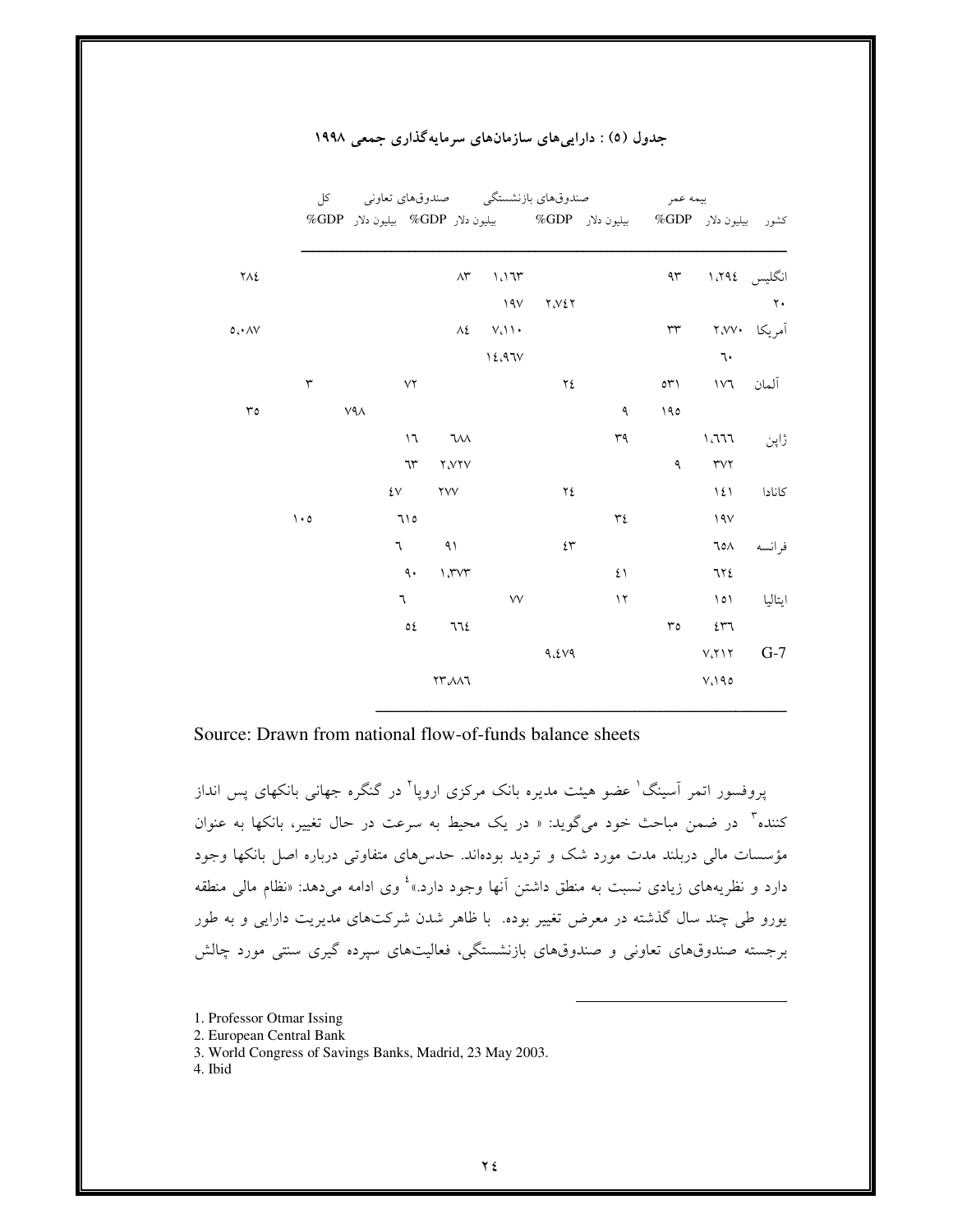|            |                                 |            |  |                    |                                     |                     |                                             |       |          | كشور بيليون دلار GDP # بيليون دلار GDP% ميليون دلار GDP% بيليون دلار GDP% |                                        |              |
|------------|---------------------------------|------------|--|--------------------|-------------------------------------|---------------------|---------------------------------------------|-------|----------|---------------------------------------------------------------------------|----------------------------------------|--------------|
| <b>712</b> |                                 |            |  |                    |                                     | $\wedge\!\check{r}$ | 1.17r                                       |       |          |                                                                           | انگلیس ۱،۲۹٤ ۹۳                        |              |
|            |                                 |            |  |                    |                                     |                     | 19V                                         | ۲٫۷٤۲ |          |                                                                           |                                        | $\mathbf{v}$ |
|            |                                 |            |  |                    |                                     |                     | $\Lambda$ { $V$ $\Lambda$ $\Lambda$ $\star$ |       |          |                                                                           | آمریکا ۲٬۷۷۰ ۳۳                        |              |
|            |                                 |            |  |                    |                                     |                     | 12.97V                                      |       |          |                                                                           | $\mathcal{T}$                          |              |
|            | ٣                               |            |  | $V\Upsilon$        |                                     |                     |                                             | ٢٤    |          |                                                                           | آلمان ١٧٦ ٢٦١                          |              |
|            |                                 | <b>VAA</b> |  |                    |                                     |                     |                                             |       | ٩        | 190                                                                       |                                        |              |
|            |                                 |            |  | $\mathcal{L}$      | ٦M                                  |                     |                                             |       | ٣٩       |                                                                           |                                        | ژاپن ۱،٦٦٦   |
|            |                                 |            |  | ٦٣                 | ۲،۷۲۷                               |                     |                                             |       |          | ٩                                                                         | $\mathsf{r}\mathsf{v}\mathsf{r}$       |              |
|            |                                 |            |  | 2V                 | ۲۷V                                 |                     |                                             | ٢٤    |          |                                                                           | 151                                    | كانادا       |
|            | $\mathcal{L} \cdot \mathcal{O}$ |            |  | 710                |                                     |                     |                                             |       | ٣٤       |                                                                           | 19V                                    |              |
|            |                                 |            |  |                    | $7$ $91$                            |                     |                                             | ٤٣    |          |                                                                           | ٦٥٨                                    | فرانسه       |
|            |                                 |            |  | $\mathfrak{q}$ .   | $\lambda$ $\gamma \gamma \gamma$    |                     |                                             |       | ٤١       |                                                                           | 772                                    |              |
|            |                                 |            |  | ٦                  |                                     |                     | <b>VV</b>                                   |       | $\gamma$ |                                                                           | 101                                    | ايتاليا      |
|            |                                 |            |  | $\circ\mathcal{E}$ | 77٤                                 |                     |                                             |       |          | ٣٥                                                                        | ٤٣٦                                    |              |
|            |                                 |            |  |                    |                                     |                     |                                             | 9.509 |          |                                                                           | $V_1$ $\uparrow$ $\uparrow$ $\uparrow$ | $G-7$        |
|            |                                 |            |  |                    | $\Upsilon\Upsilon \wedge \Lambda$ ٦ |                     |                                             |       |          |                                                                           | $V_1$ 190                              |              |
|            |                                 |            |  |                    |                                     |                     |                                             |       |          |                                                                           |                                        |              |

## جدول (٥) : داراییهای سازمانهای سرمایهگذاری جمعی ۱۹۹۸

Source: Drawn from national flow-of-funds balance sheets

یروفسور اتمر آسینگ<sup>'</sup> عضو هیئت مدیره بانک مرکزی اروپا<sup>۲</sup> در گنگره جهانی بانکهای پس انداز کننده<sup>۳</sup> در ضمن مباحث خود میگوید: « در یک محیط به سرعت در حال تغییر، بانکها به عنوان مؤسسات مالی دربلند مدت مورد شک و تردید بودهاند. حدسهای متفاوتی درباره اصل بانکها وجود دارد و نظریههای زیادی نسبت به منطق داشتن آنها وجود دارد.»<sup>؛</sup> وی ادامه میدهد: «نظام مال<sub>ی</sub> منطقه یورو طی چند سال گذشته در معرض تغییر بوده. با ظاهر شدن شرکتهای مدیریت دارایی و به طور برجسته صندوقهای تعاونی و صندوقهای بازنشستگی، فعالیتهای سپرده گیری سنتی مورد چالش

1. Professor Otmar Issing

2. European Central Bank

3. World Congress of Savings Banks, Madrid, 23 May 2003.

4. Ibid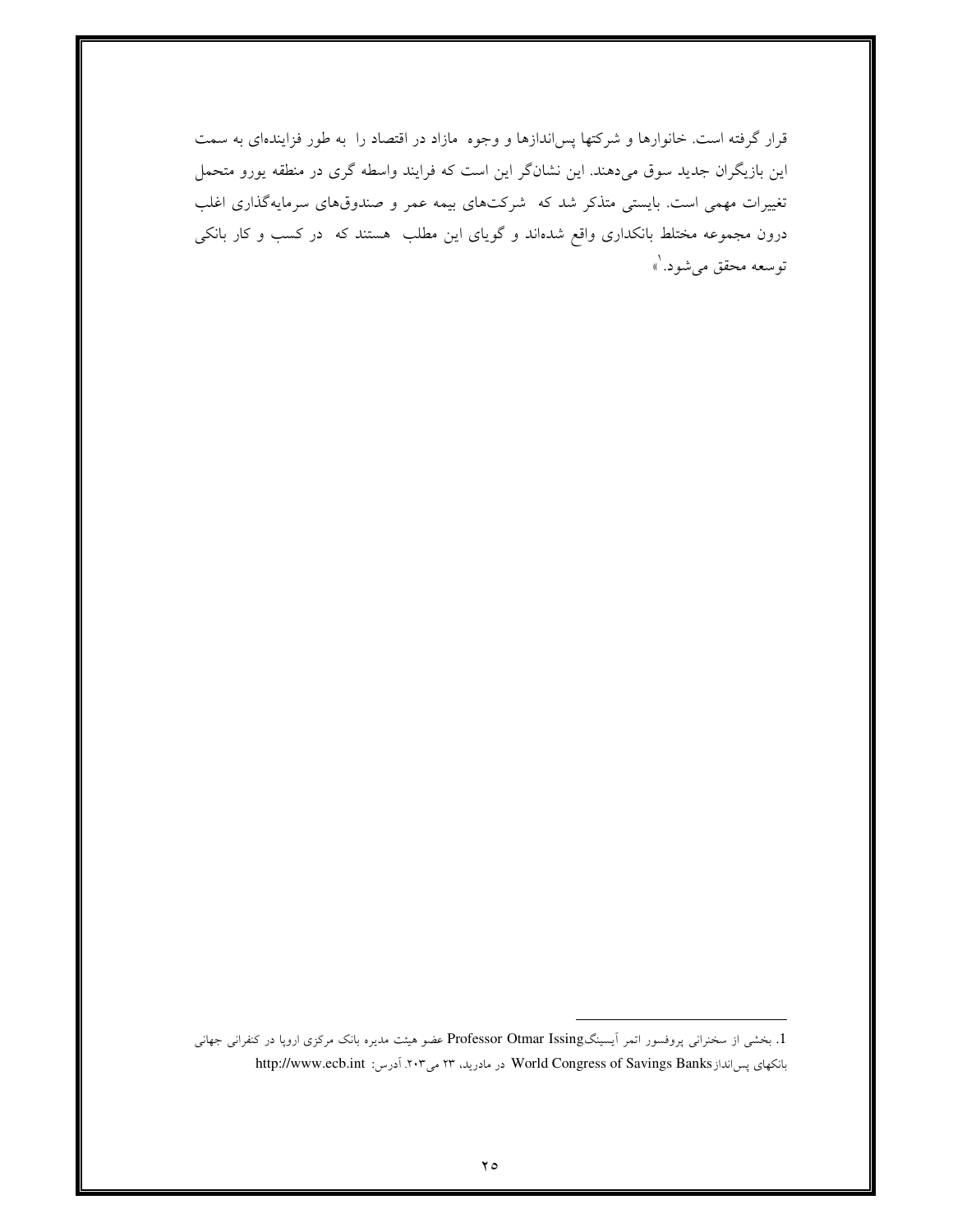قرار گرفته است. خانوارها و شرکتها پس|ندازها و وجوه مازاد در اقتصاد را به طور فزایندهای به سمت این بازیگران جدید سوق میدهند. این نشانگر این است که فرایند واسطه گری در منطقه یورو متحمل تغییرات مهمی است. بایستی متذکر شد که شرکتهای بیمه عمر و صندوقهای سرمایهگذاری اغلب درون مجموعه مختلط بانکداری واقع شدهاند و گویای این مطلب هستند که در کسب و کار بانکی توسعه محقق مي شود. <sup>١</sup>»

<sup>1.</sup> بخشی از سخنرانی پروفسور اتمر ایسینگProfessor Otmar Issing عضو هیئت مدیره بانک مرکزی اروپا در کنفرانی جهانی بانكهاى پس انداز World Congress of Savings Banks در مادريد، ٢٣ مى ٢٠٣. آدرس: http://www.ecb.int